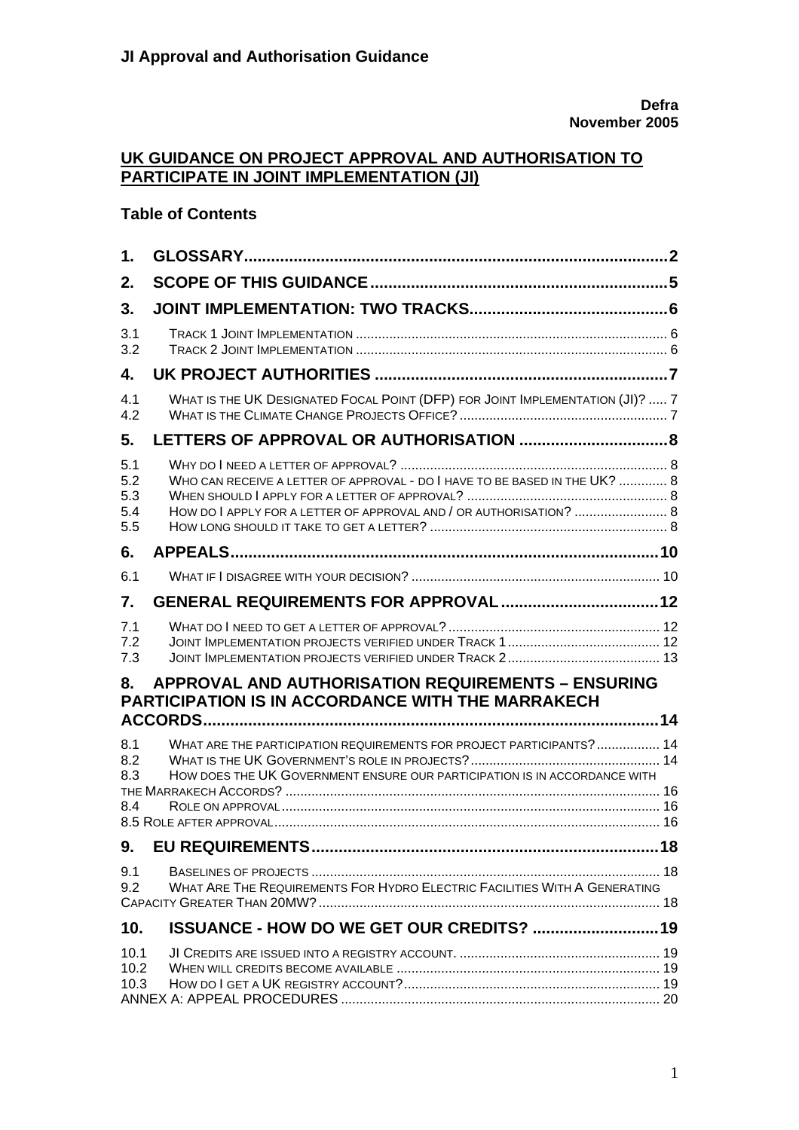## **UK GUIDANCE ON PROJECT APPROVAL AND AUTHORISATION TO PARTICIPATE IN JOINT IMPLEMENTATION (JI)**

#### **Table of Contents**

| $\mathbf 1$ .                   |                                                                                                                                                  |  |
|---------------------------------|--------------------------------------------------------------------------------------------------------------------------------------------------|--|
| 2.                              |                                                                                                                                                  |  |
| 3.                              |                                                                                                                                                  |  |
| 3.1<br>3.2                      |                                                                                                                                                  |  |
| 4.                              |                                                                                                                                                  |  |
| 4.1<br>4.2                      | WHAT IS THE UK DESIGNATED FOCAL POINT (DFP) FOR JOINT IMPLEMENTATION (JI)?  7                                                                    |  |
| 5.                              |                                                                                                                                                  |  |
| 5.1<br>5.2<br>5.3<br>5.4<br>5.5 | WHO CAN RECEIVE A LETTER OF APPROVAL - DO I HAVE TO BE BASED IN THE UK?  8<br>HOW DO I APPLY FOR A LETTER OF APPROVAL AND / OR AUTHORISATION?  8 |  |
| 6.                              |                                                                                                                                                  |  |
| 6.1                             |                                                                                                                                                  |  |
| 7.                              |                                                                                                                                                  |  |
| 7.1<br>7.2<br>7.3               |                                                                                                                                                  |  |
| 8.                              | <b>APPROVAL AND AUTHORISATION REQUIREMENTS - ENSURING</b><br>PARTICIPATION IS IN ACCORDANCE WITH THE MARRAKECH                                   |  |
|                                 | WHAT ARE THE PARTICIPATION REQUIREMENTS FOR PROJECT PARTICIPANTS?  14                                                                            |  |
| 8.1<br>8.2<br>8.3               | HOW DOES THE UK GOVERNMENT ENSURE OUR PARTICIPATION IS IN ACCORDANCE WITH                                                                        |  |
| 8.4                             |                                                                                                                                                  |  |
| 9.                              |                                                                                                                                                  |  |
| 9.1<br>9.2                      | WHAT ARE THE REQUIREMENTS FOR HYDRO ELECTRIC FACILITIES WITH A GENERATING                                                                        |  |
| 10 <sub>1</sub>                 | ISSUANCE - HOW DO WE GET OUR CREDITS?  19                                                                                                        |  |
| 10.1<br>10.2<br>10.3            |                                                                                                                                                  |  |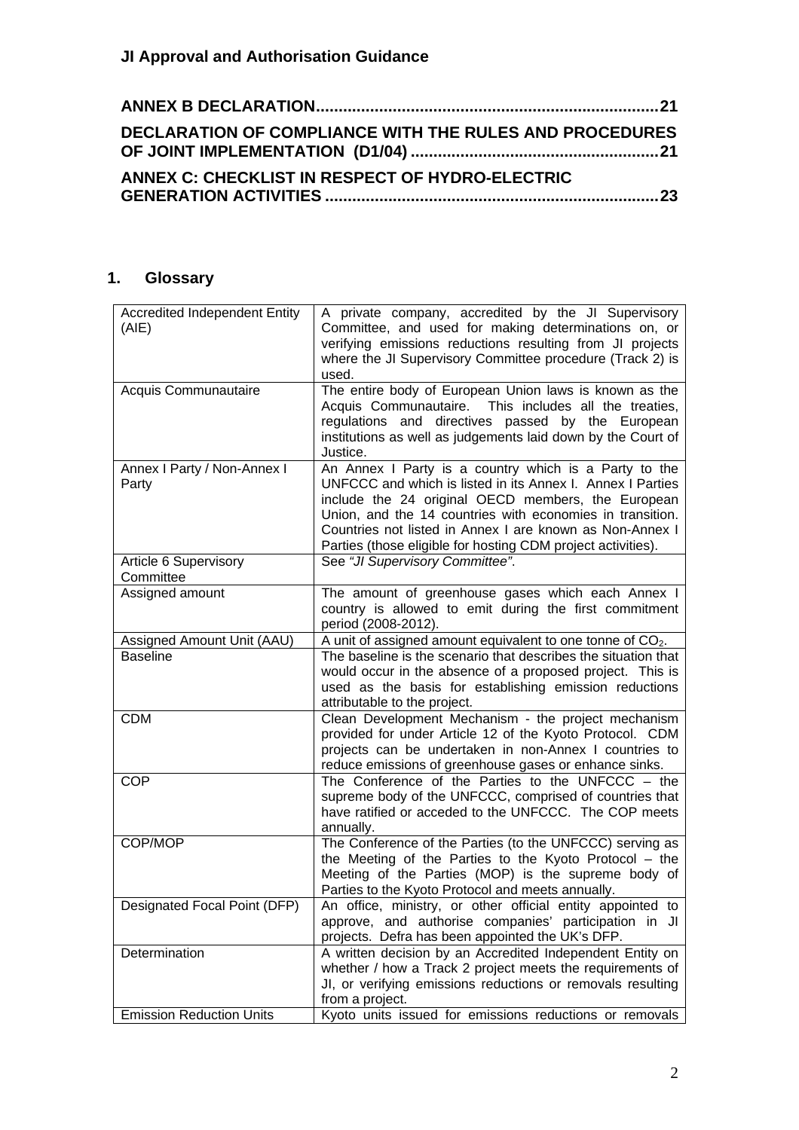| <b>DECLARATION OF COMPLIANCE WITH THE RULES AND PROCEDURES</b> |
|----------------------------------------------------------------|
| ANNEX C: CHECKLIST IN RESPECT OF HYDRO-ELECTRIC                |

## <span id="page-1-0"></span>**1. Glossary**

| <b>Accredited Independent Entity</b> | A private company, accredited by the JI Supervisory            |  |  |
|--------------------------------------|----------------------------------------------------------------|--|--|
| (AIE)                                | Committee, and used for making determinations on, or           |  |  |
|                                      | verifying emissions reductions resulting from JI projects      |  |  |
|                                      | where the JI Supervisory Committee procedure (Track 2) is      |  |  |
|                                      | used.                                                          |  |  |
| Acquis Communautaire                 | The entire body of European Union laws is known as the         |  |  |
|                                      | Acquis Communautaire. This includes all the treaties,          |  |  |
|                                      | regulations and directives passed by the European              |  |  |
|                                      | institutions as well as judgements laid down by the Court of   |  |  |
|                                      | Justice.                                                       |  |  |
| Annex I Party / Non-Annex I          | An Annex I Party is a country which is a Party to the          |  |  |
| Party                                | UNFCCC and which is listed in its Annex I. Annex I Parties     |  |  |
|                                      | include the 24 original OECD members, the European             |  |  |
|                                      | Union, and the 14 countries with economies in transition.      |  |  |
|                                      | Countries not listed in Annex I are known as Non-Annex I       |  |  |
|                                      | Parties (those eligible for hosting CDM project activities).   |  |  |
| Article 6 Supervisory                | See "JI Supervisory Committee".                                |  |  |
| Committee                            |                                                                |  |  |
| Assigned amount                      | The amount of greenhouse gases which each Annex I              |  |  |
|                                      | country is allowed to emit during the first commitment         |  |  |
|                                      | period (2008-2012).                                            |  |  |
| Assigned Amount Unit (AAU)           | A unit of assigned amount equivalent to one tonne of $CO2$ .   |  |  |
| <b>Baseline</b>                      | The baseline is the scenario that describes the situation that |  |  |
|                                      | would occur in the absence of a proposed project. This is      |  |  |
|                                      | used as the basis for establishing emission reductions         |  |  |
|                                      | attributable to the project.                                   |  |  |
| <b>CDM</b>                           | Clean Development Mechanism - the project mechanism            |  |  |
|                                      | provided for under Article 12 of the Kyoto Protocol. CDM       |  |  |
|                                      | projects can be undertaken in non-Annex I countries to         |  |  |
|                                      | reduce emissions of greenhouse gases or enhance sinks.         |  |  |
| <b>COP</b>                           | The Conference of the Parties to the UNFCCC $-$ the            |  |  |
|                                      | supreme body of the UNFCCC, comprised of countries that        |  |  |
|                                      | have ratified or acceded to the UNFCCC. The COP meets          |  |  |
|                                      | annually.                                                      |  |  |
| COP/MOP                              | The Conference of the Parties (to the UNFCCC) serving as       |  |  |
|                                      | the Meeting of the Parties to the Kyoto Protocol $-$ the       |  |  |
|                                      | Meeting of the Parties (MOP) is the supreme body of            |  |  |
|                                      |                                                                |  |  |
|                                      | Parties to the Kyoto Protocol and meets annually.              |  |  |
| Designated Focal Point (DFP)         | An office, ministry, or other official entity appointed to     |  |  |
|                                      | approve, and authorise companies' participation in JI          |  |  |
|                                      | projects. Defra has been appointed the UK's DFP.               |  |  |
| Determination                        | A written decision by an Accredited Independent Entity on      |  |  |
|                                      | whether / how a Track 2 project meets the requirements of      |  |  |
|                                      | JI, or verifying emissions reductions or removals resulting    |  |  |
| <b>Emission Reduction Units</b>      | from a project.                                                |  |  |
|                                      | Kyoto units issued for emissions reductions or removals        |  |  |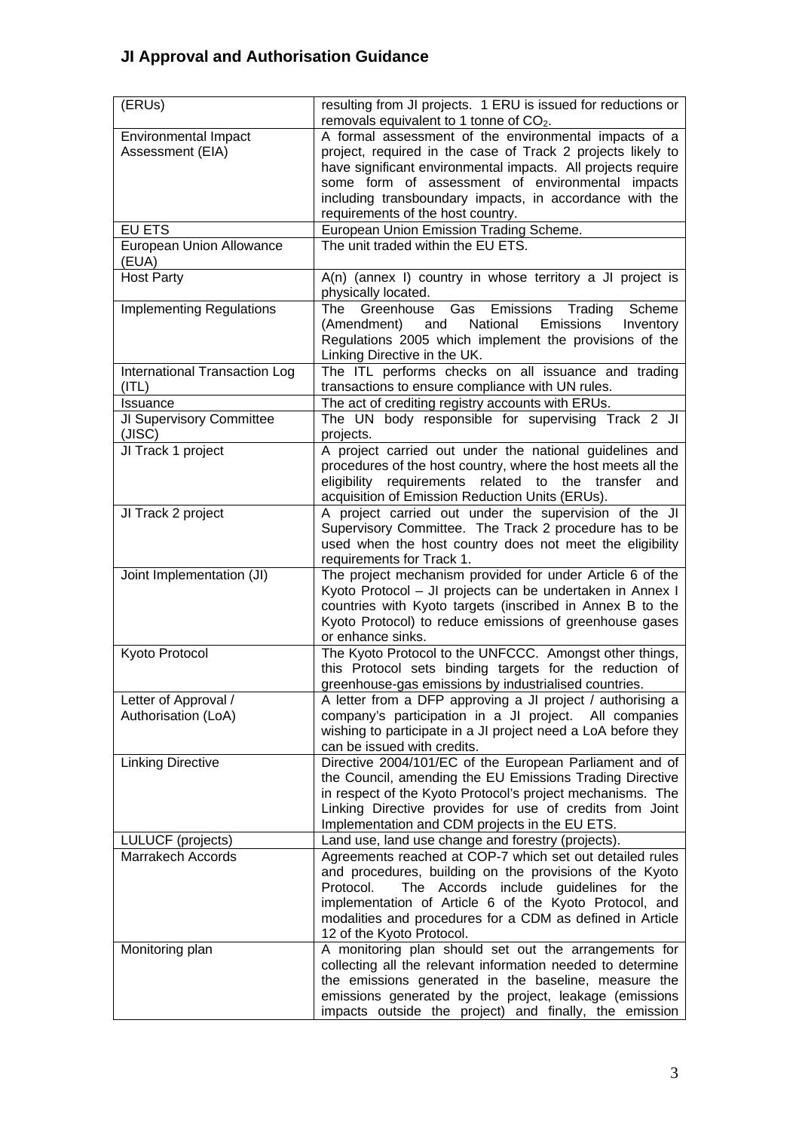| (ERUs)                                          | resulting from JI projects. 1 ERU is issued for reductions or<br>removals equivalent to 1 tonne of CO <sub>2</sub> .                                                                                                                                                                                                                     |  |
|-------------------------------------------------|------------------------------------------------------------------------------------------------------------------------------------------------------------------------------------------------------------------------------------------------------------------------------------------------------------------------------------------|--|
| <b>Environmental Impact</b><br>Assessment (EIA) | A formal assessment of the environmental impacts of a<br>project, required in the case of Track 2 projects likely to<br>have significant environmental impacts. All projects require<br>some form of assessment of environmental impacts<br>including transboundary impacts, in accordance with the<br>requirements of the host country. |  |
| <b>EU ETS</b>                                   | European Union Emission Trading Scheme.                                                                                                                                                                                                                                                                                                  |  |
| <b>European Union Allowance</b><br>(EUA)        | The unit traded within the EU ETS.                                                                                                                                                                                                                                                                                                       |  |
| <b>Host Party</b>                               | $A(n)$ (annex I) country in whose territory a JI project is<br>physically located.                                                                                                                                                                                                                                                       |  |
| <b>Implementing Regulations</b>                 | Greenhouse Gas Emissions Trading<br>The<br>Scheme<br>and<br>National<br>Emissions<br>Inventory<br>(Amendment)<br>Regulations 2005 which implement the provisions of the<br>Linking Directive in the UK.                                                                                                                                  |  |
| International Transaction Log<br>(ITL)          | The ITL performs checks on all issuance and trading<br>transactions to ensure compliance with UN rules.                                                                                                                                                                                                                                  |  |
| Issuance                                        | The act of crediting registry accounts with ERUs.                                                                                                                                                                                                                                                                                        |  |
| JI Supervisory Committee<br>(JISC)              | The UN body responsible for supervising Track 2 JI<br>projects.                                                                                                                                                                                                                                                                          |  |
| JI Track 1 project                              | A project carried out under the national guidelines and<br>procedures of the host country, where the host meets all the<br>eligibility requirements related to the transfer<br>and<br>acquisition of Emission Reduction Units (ERUs).                                                                                                    |  |
| JI Track 2 project                              | A project carried out under the supervision of the JI<br>Supervisory Committee. The Track 2 procedure has to be<br>used when the host country does not meet the eligibility<br>requirements for Track 1.                                                                                                                                 |  |
| Joint Implementation (JI)                       | The project mechanism provided for under Article 6 of the<br>Kyoto Protocol - JI projects can be undertaken in Annex I<br>countries with Kyoto targets (inscribed in Annex B to the<br>Kyoto Protocol) to reduce emissions of greenhouse gases<br>or enhance sinks.                                                                      |  |
| Kyoto Protocol                                  | The Kyoto Protocol to the UNFCCC. Amongst other things,<br>this Protocol sets binding targets for the reduction of<br>greenhouse-gas emissions by industrialised countries.                                                                                                                                                              |  |
| Letter of Approval /<br>Authorisation (LoA)     | A letter from a DFP approving a JI project / authorising a<br>company's participation in a JI project. All companies<br>wishing to participate in a JI project need a LoA before they<br>can be issued with credits.                                                                                                                     |  |
| <b>Linking Directive</b>                        | Directive 2004/101/EC of the European Parliament and of<br>the Council, amending the EU Emissions Trading Directive<br>in respect of the Kyoto Protocol's project mechanisms. The<br>Linking Directive provides for use of credits from Joint<br>Implementation and CDM projects in the EU ETS.                                          |  |
| LULUCF (projects)                               | Land use, land use change and forestry (projects).                                                                                                                                                                                                                                                                                       |  |
| Marrakech Accords                               | Agreements reached at COP-7 which set out detailed rules<br>and procedures, building on the provisions of the Kyoto<br>Protocol.<br>The Accords include guidelines for the<br>implementation of Article 6 of the Kyoto Protocol, and<br>modalities and procedures for a CDM as defined in Article<br>12 of the Kyoto Protocol.           |  |
| Monitoring plan                                 | A monitoring plan should set out the arrangements for<br>collecting all the relevant information needed to determine<br>the emissions generated in the baseline, measure the<br>emissions generated by the project, leakage (emissions<br>impacts outside the project) and finally, the emission                                         |  |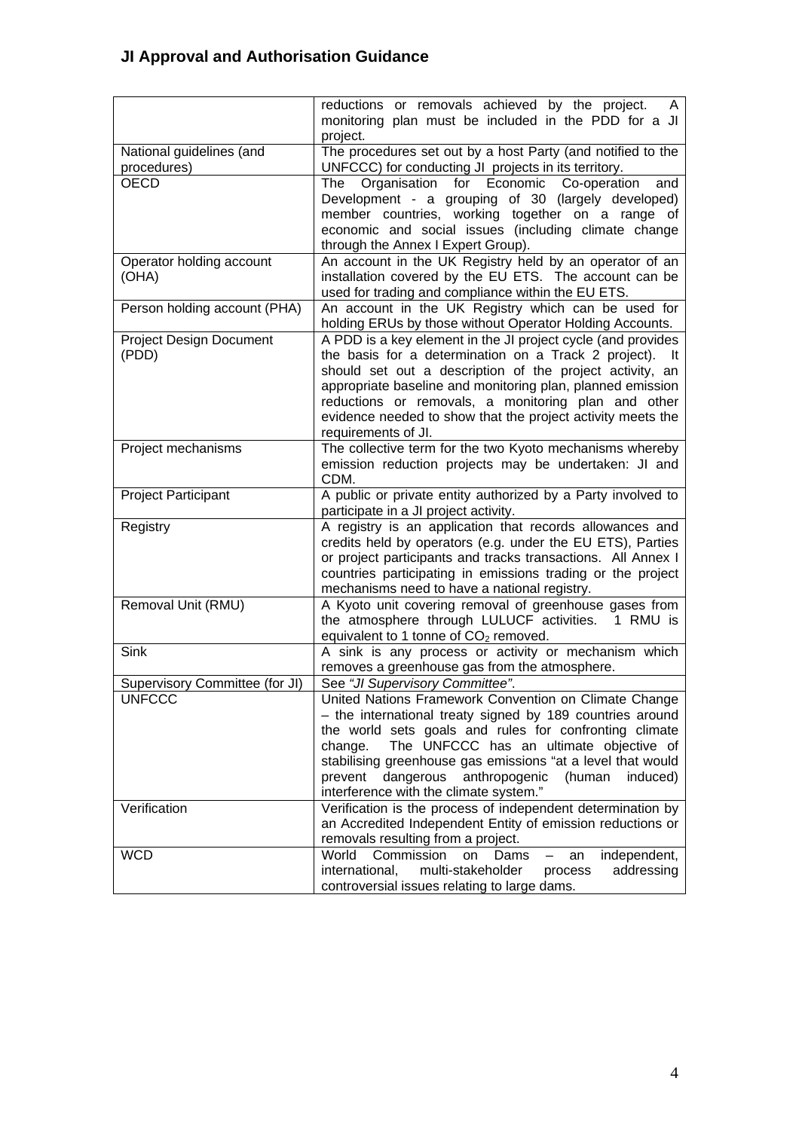|                                         | reductions or removals achieved by the project.<br>A<br>monitoring plan must be included in the PDD for a JI<br>project.                                                                                                                                                                                                                                                                                   |
|-----------------------------------------|------------------------------------------------------------------------------------------------------------------------------------------------------------------------------------------------------------------------------------------------------------------------------------------------------------------------------------------------------------------------------------------------------------|
| National guidelines (and<br>procedures) | The procedures set out by a host Party (and notified to the<br>UNFCCC) for conducting JI projects in its territory.                                                                                                                                                                                                                                                                                        |
| <b>OECD</b>                             | Organisation for Economic<br>The<br>Co-operation<br>and<br>Development - a grouping of 30 (largely developed)<br>member countries, working together on a range of<br>economic and social issues (including climate change<br>through the Annex I Expert Group).                                                                                                                                            |
| Operator holding account<br>(OHA)       | An account in the UK Registry held by an operator of an<br>installation covered by the EU ETS. The account can be<br>used for trading and compliance within the EU ETS.                                                                                                                                                                                                                                    |
| Person holding account (PHA)            | An account in the UK Registry which can be used for<br>holding ERUs by those without Operator Holding Accounts.                                                                                                                                                                                                                                                                                            |
| <b>Project Design Document</b><br>(PDD) | A PDD is a key element in the JI project cycle (and provides<br>the basis for a determination on a Track 2 project).<br>-lt<br>should set out a description of the project activity, an<br>appropriate baseline and monitoring plan, planned emission<br>reductions or removals, a monitoring plan and other<br>evidence needed to show that the project activity meets the<br>requirements of JI.         |
| Project mechanisms                      | The collective term for the two Kyoto mechanisms whereby<br>emission reduction projects may be undertaken: JI and<br>CDM.                                                                                                                                                                                                                                                                                  |
| Project Participant                     | A public or private entity authorized by a Party involved to<br>participate in a JI project activity.                                                                                                                                                                                                                                                                                                      |
| Registry                                | A registry is an application that records allowances and<br>credits held by operators (e.g. under the EU ETS), Parties<br>or project participants and tracks transactions. All Annex I<br>countries participating in emissions trading or the project<br>mechanisms need to have a national registry.                                                                                                      |
| Removal Unit (RMU)                      | A Kyoto unit covering removal of greenhouse gases from<br>the atmosphere through LULUCF activities.<br>1 RMU is<br>equivalent to 1 tonne of $CO2$ removed.                                                                                                                                                                                                                                                 |
| Sink                                    | A sink is any process or activity or mechanism which<br>removes a greenhouse gas from the atmosphere.                                                                                                                                                                                                                                                                                                      |
| Supervisory Committee (for JI)          | See "JI Supervisory Committee".                                                                                                                                                                                                                                                                                                                                                                            |
| <b>UNFCCC</b>                           | United Nations Framework Convention on Climate Change<br>- the international treaty signed by 189 countries around<br>the world sets goals and rules for confronting climate<br>The UNFCCC has an ultimate objective of<br>change.<br>stabilising greenhouse gas emissions "at a level that would<br>dangerous<br>anthropogenic<br>prevent<br>(human<br>induced)<br>interference with the climate system." |
| Verification                            | Verification is the process of independent determination by<br>an Accredited Independent Entity of emission reductions or<br>removals resulting from a project.                                                                                                                                                                                                                                            |
| <b>WCD</b>                              | World<br>Commission<br>independent,<br><b>on</b><br>Dams<br>an<br>international.<br>multi-stakeholder<br>addressing<br>process<br>controversial issues relating to large dams.                                                                                                                                                                                                                             |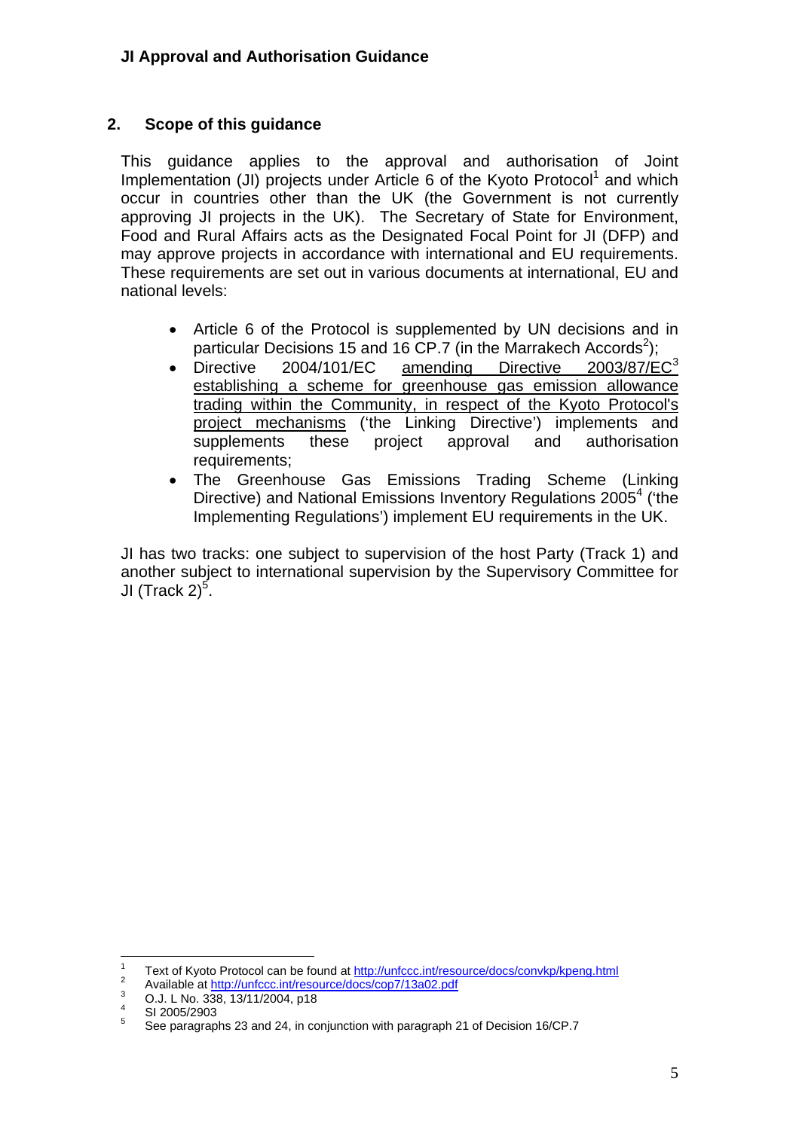### <span id="page-4-0"></span>**2. Scope of this guidance**

This guidance applies to the approval and authorisation of Joint Implementation (JI) projects under Article 6 of the Kyoto Protocol<sup>[1](#page-4-1)</sup> and which occur in countries other than the UK (the Government is not currently approving JI projects in the UK). The Secretary of State for Environment, Food and Rural Affairs acts as the Designated Focal Point for JI (DFP) and may approve projects in accordance with international and EU requirements. These requirements are set out in various documents at international, EU and national levels:

- Article 6 of the Protocol is supplemented by UN decisions and in particular Decisions 15 and 16 CP.7 (in the Marrakech Accords<sup>[2](#page-4-2)</sup>);
- Directive 2004/101/EC amending Directive 200[3](#page-4-3)/87/EC<sup>3</sup> establishing a scheme for greenhouse gas emission allowance trading within the Community, in respect of the Kyoto Protocol's project mechanisms ('the Linking Directive') implements and supplements these project approval and authorisation requirements;
- The Greenhouse Gas Emissions Trading Scheme (Linking Directive) and National Emissions Inventory Regulations 2005<sup>[4](#page-4-4)</sup> ('the Implementing Regulations') implement EU requirements in the UK.

JI has two tracks: one subject to supervision of the host Party (Track 1) and another subject to international supervision by the Supervisory Committee for JI (Track 2)<sup>[5](#page-4-5)</sup>.

 $\frac{1}{1}$ Text of Kyoto Protocol can be found at http://unfccc.int/resource/docs/convkp/kpeng.html

<span id="page-4-2"></span><span id="page-4-1"></span><sup>&</sup>lt;sup>2</sup> Available at http://unfccc.int/resource/docs/cop7/13a02.pdf

<span id="page-4-3"></span>O.J. L No. 338, 13/11/2004, p18 4

<span id="page-4-4"></span>SI 2005/2903

<span id="page-4-5"></span><sup>5</sup> See paragraphs 23 and 24, in conjunction with paragraph 21 of Decision 16/CP.7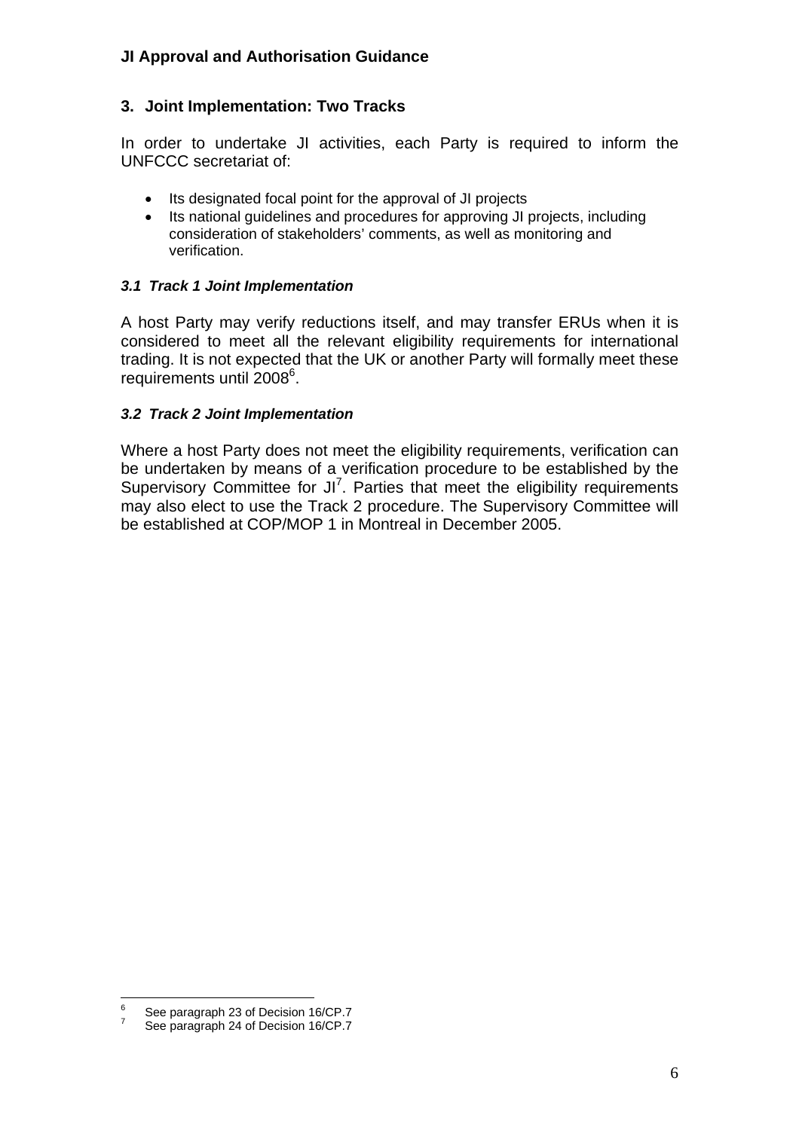## <span id="page-5-0"></span>**3. Joint Implementation: Two Tracks**

In order to undertake JI activities, each Party is required to inform the UNFCCC secretariat of:

- Its designated focal point for the approval of JI projects
- Its national guidelines and procedures for approving JI projects, including consideration of stakeholders' comments, as well as monitoring and verification.

#### <span id="page-5-1"></span>*3.1 Track 1 Joint Implementation*

A host Party may verify reductions itself, and may transfer ERUs when it is considered to meet all the relevant eligibility requirements for international trading. It is not expected that the UK or another Party will formally meet these requirements until 2008<sup>[6](#page-5-3)</sup>.

#### <span id="page-5-2"></span>*3.2 Track 2 Joint Implementation*

Where a host Party does not meet the eligibility requirements, verification can be undertaken by means of a verification procedure to be established by the Supervisory Committee for JI<sup>[7](#page-5-4)</sup>. Parties that meet the eligibility requirements may also elect to use the Track 2 procedure. The Supervisory Committee will be established at COP/MOP 1 in Montreal in December 2005.

<sup>-&</sup>lt;br>6 See paragraph 23 of Decision 16/CP.7 7

<span id="page-5-4"></span><span id="page-5-3"></span>See paragraph 24 of Decision 16/CP.7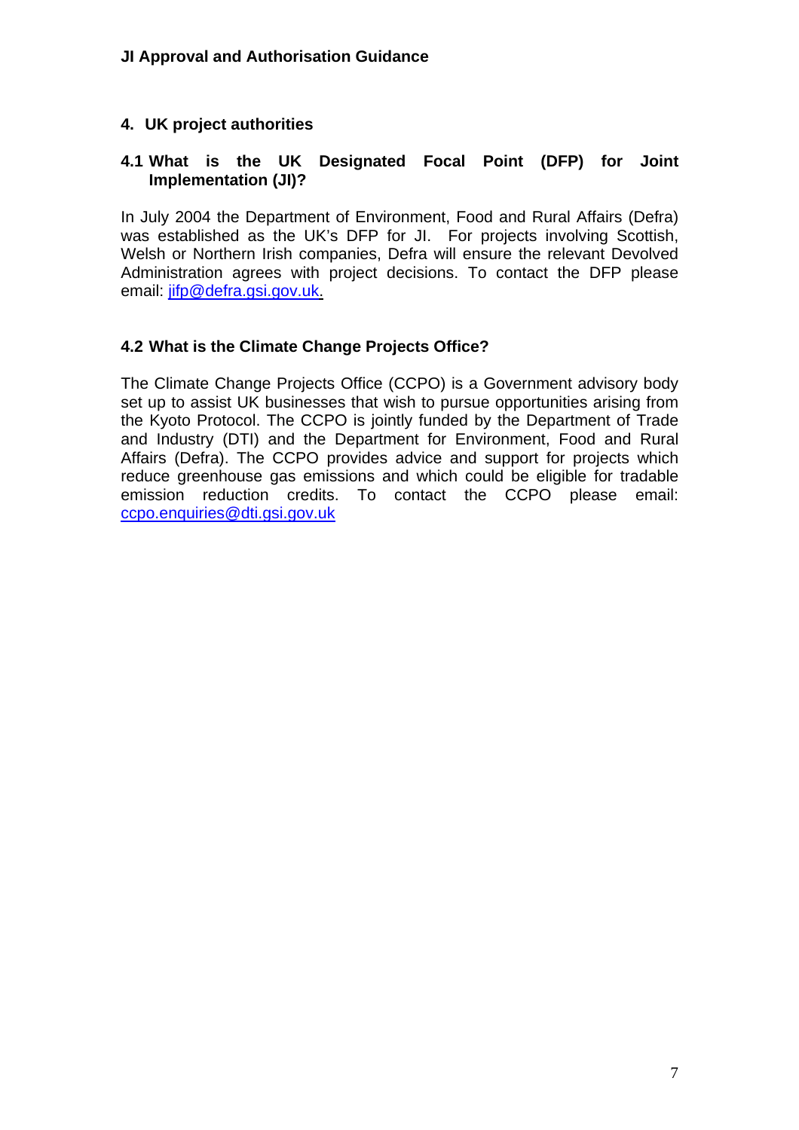### <span id="page-6-0"></span>**4. UK project authorities**

#### <span id="page-6-1"></span>**4.1 What is the UK Designated Focal Point (DFP) for Joint Implementation (JI)?**

In July 2004 the Department of Environment, Food and Rural Affairs (Defra) was established as the UK's DFP for JI. For projects involving Scottish, Welsh or Northern Irish companies, Defra will ensure the relevant Devolved Administration agrees with project decisions. To contact the DFP please email: [jifp@defra.gsi.gov.uk.](mailto:jifp@defra.gsi.gov.uk)

#### <span id="page-6-2"></span>**4.2 What is the Climate Change Projects Office?**

The Climate Change Projects Office (CCPO) is a Government advisory body set up to assist UK businesses that wish to pursue opportunities arising from the Kyoto Protocol. The CCPO is jointly funded by the Department of Trade and Industry (DTI) and the Department for Environment, Food and Rural Affairs (Defra). The CCPO provides advice and support for projects which reduce greenhouse gas emissions and which could be eligible for tradable emission reduction credits. To contact the CCPO please email: [ccpo.enquiries@dti.gsi.gov.uk](mailto:ccpo.enquiries@dti.gsi.gov.uk)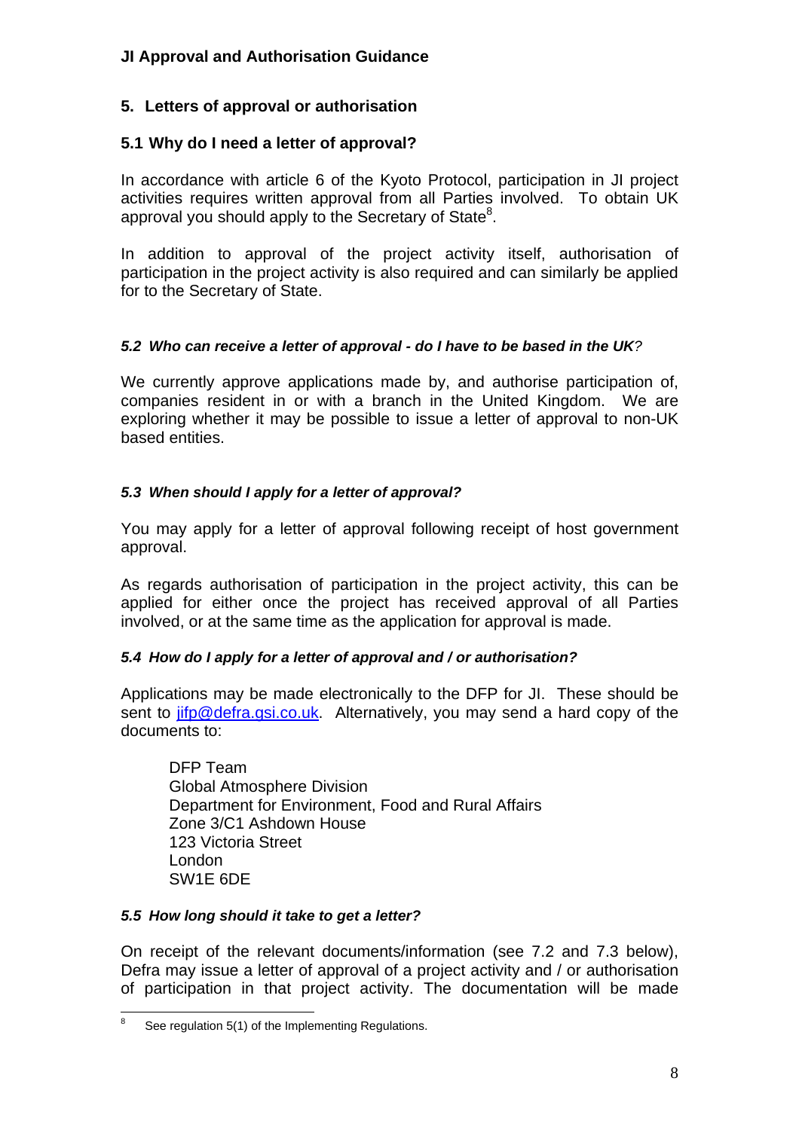## <span id="page-7-0"></span>**5. Letters of approval or authorisation**

## <span id="page-7-1"></span>**5.1 Why do I need a letter of approval?**

In accordance with article 6 of the Kyoto Protocol, participation in JI project activities requires written approval from all Parties involved. To obtain UK approval you should apply to the Secretary of State<sup>8</sup>.

In addition to approval of the project activity itself, authorisation of participation in the project activity is also required and can similarly be applied for to the Secretary of State.

## <span id="page-7-2"></span>*5.2 Who can receive a letter of approval - do I have to be based in the UK?*

We currently approve applications made by, and authorise participation of, companies resident in or with a branch in the United Kingdom. We are exploring whether it may be possible to issue a letter of approval to non-UK based entities.

## <span id="page-7-3"></span>*5.3 When should I apply for a letter of approval?*

You may apply for a letter of approval following receipt of host government approval.

As regards authorisation of participation in the project activity, this can be applied for either once the project has received approval of all Parties involved, or at the same time as the application for approval is made.

## <span id="page-7-4"></span>*5.4 How do I apply for a letter of approval and / or authorisation?*

Applications may be made electronically to the DFP for JI. These should be sent to [jifp@defra.gsi.co.uk.](mailto:jifp@defra.gsi.co.uk) Alternatively, you may send a hard copy of the documents to:

DFP Team Global Atmosphere Division Department for Environment, Food and Rural Affairs Zone 3/C1 Ashdown House 123 Victoria Street London SW1E 6DE

## <span id="page-7-5"></span>*5.5 How long should it take to get a letter?*

On receipt of the relevant documents/information (see 7.2 and 7.3 below), Defra may issue a letter of approval of a project activity and / or authorisation of participation in that project activity. The documentation will be made

<span id="page-7-6"></span><sup>-&</sup>lt;br>8 See regulation 5(1) of the Implementing Regulations.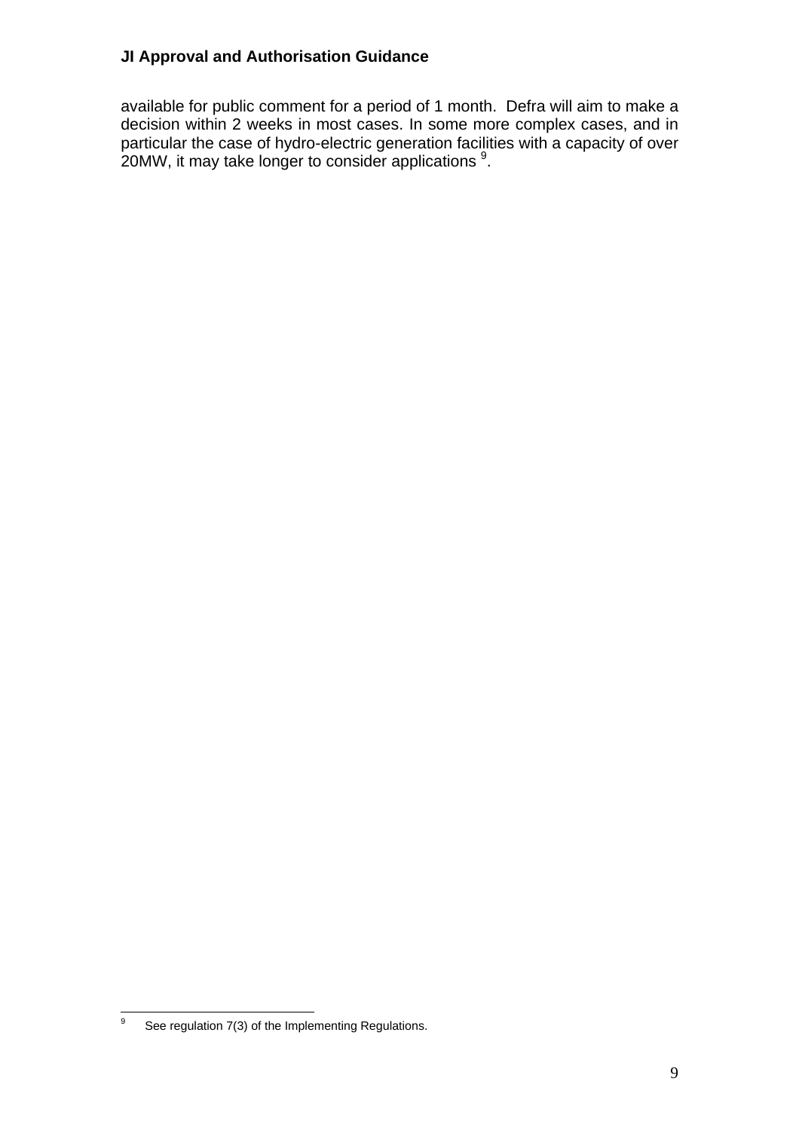available for public comment for a period of 1 month. Defra will aim to make a decision within 2 weeks in most cases. In some more complex cases, and in particular the case of hydro-electric generation facilities with a capacity of over  $20$ MW, it may take longer to consider applications  $9$ .

<span id="page-8-0"></span><sup>-&</sup>lt;br>9 See regulation 7(3) of the Implementing Regulations.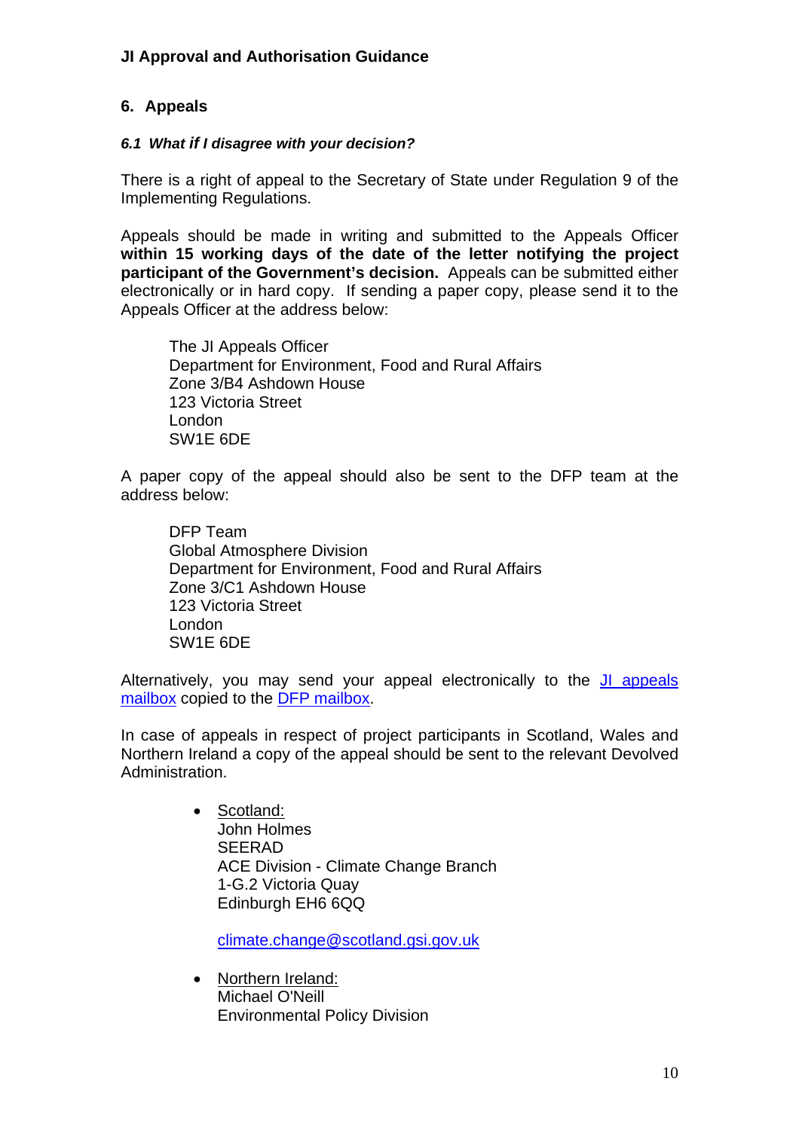## <span id="page-9-0"></span>**6. Appeals**

#### <span id="page-9-1"></span>*6.1 What if I disagree with your decision?*

There is a right of appeal to the Secretary of State under Regulation 9 of the Implementing Regulations.

Appeals should be made in writing and submitted to the Appeals Officer **within 15 working days of the date of the letter notifying the project participant of the Government's decision.** Appeals can be submitted either electronically or in hard copy. If sending a paper copy, please send it to the Appeals Officer at the address below:

The JI Appeals Officer Department for Environment, Food and Rural Affairs Zone 3/B4 Ashdown House 123 Victoria Street London SW1E 6DE

A paper copy of the appeal should also be sent to the DFP team at the address below:

DFP Team Global Atmosphere Division Department for Environment, Food and Rural Affairs Zone 3/C1 Ashdown House 123 Victoria Street London SW1E 6DE

Alternatively, you may send your appeal electronically to the [JI appeals](mailto:jiappeals@defra.gsi.gov.uk)  [mailbox](mailto:jiappeals@defra.gsi.gov.uk) copied to the [DFP mailbox.](mailto:jifp@defra.gsi.gov.uk)

In case of appeals in respect of project participants in Scotland, Wales and Northern Ireland a copy of the appeal should be sent to the relevant Devolved Administration.

> • Scotland: John Holmes SEERAD ACE Division - Climate Change Branch 1-G.2 Victoria Quay Edinburgh EH6 6QQ

[climate.change@scotland.gsi.gov.uk](mailto:climate.change@scotland.gsi.gov.uk)

• Northern Ireland: Michael O'Neill Environmental Policy Division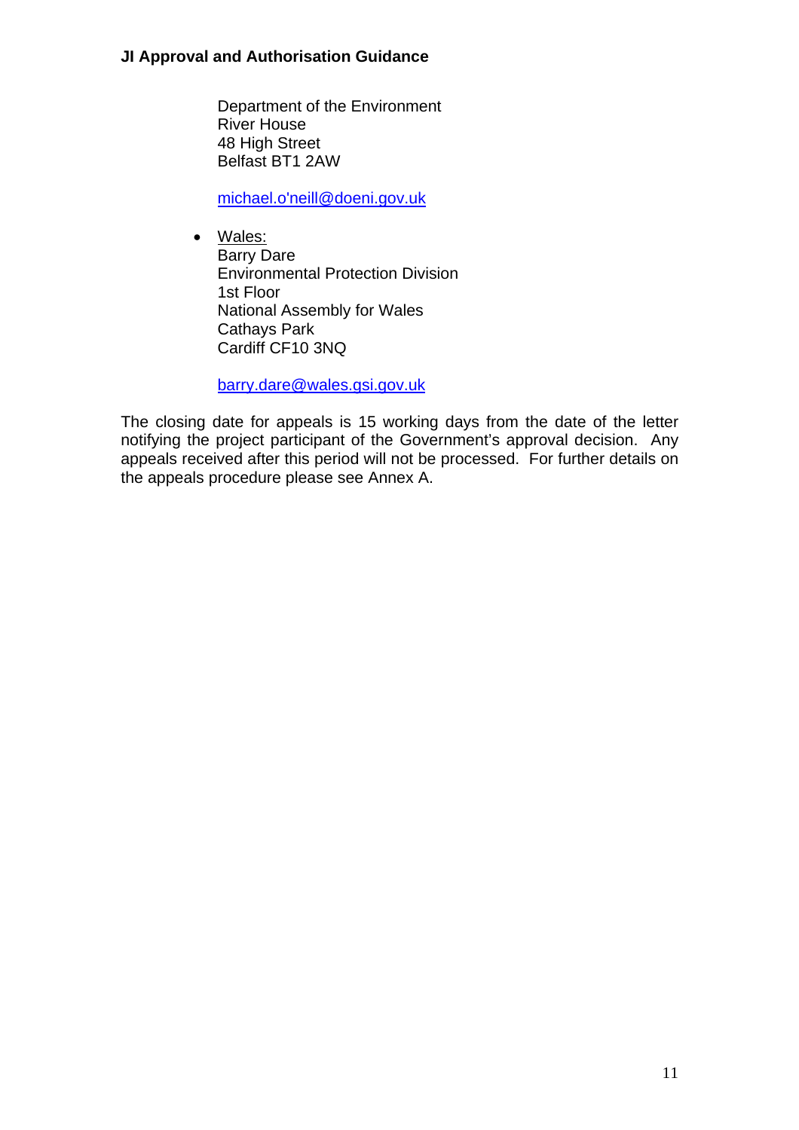Department of the Environment River House 48 High Street Belfast BT1 2AW

[michael.o'neill@doeni.gov.uk](mailto:michael.o) 

• Wales: Barry Dare Environmental Protection Division 1st Floor National Assembly for Wales Cathays Park Cardiff CF10 3NQ

[barry.dare@wales.gsi.gov.uk](mailto:barry.dare@wales.gsi.gov.uk)

The closing date for appeals is 15 working days from the date of the letter notifying the project participant of the Government's approval decision. Any appeals received after this period will not be processed. For further details on the appeals procedure please see Annex A.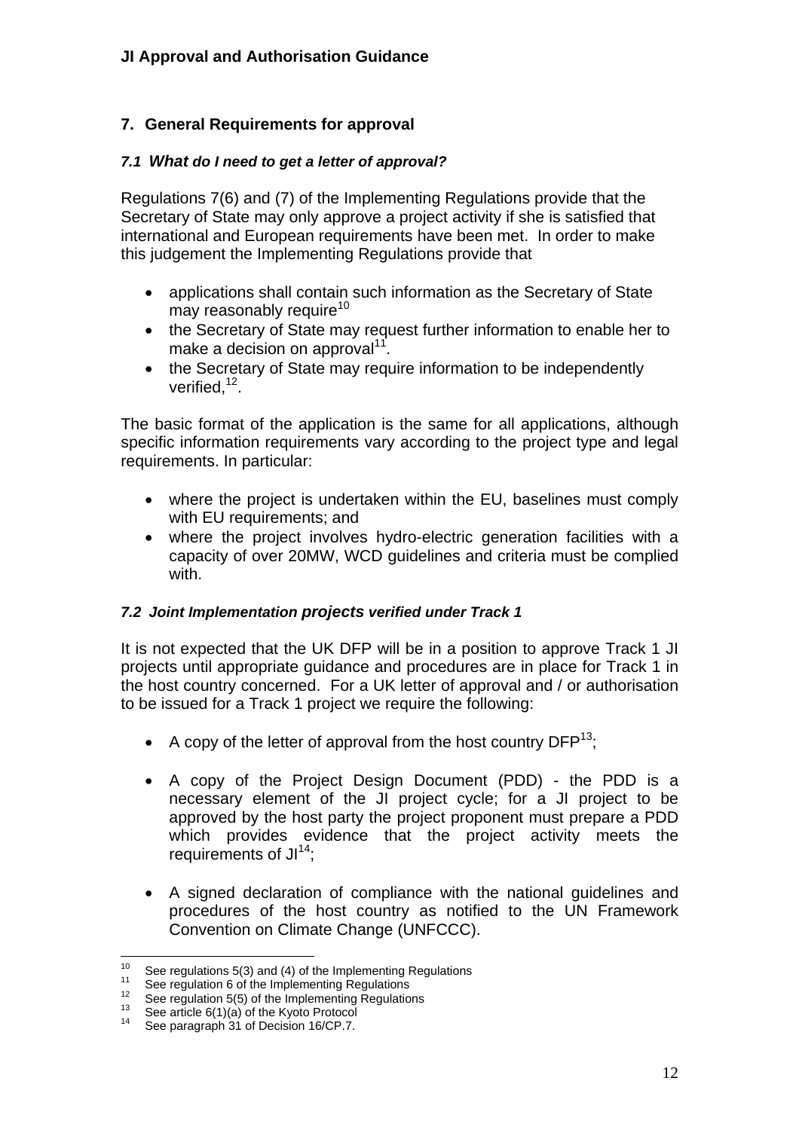## <span id="page-11-0"></span>**7. General Requirements for approval**

#### <span id="page-11-1"></span>*7.1 What do I need to get a letter of approval?*

Regulations 7(6) and (7) of the Implementing Regulations provide that the Secretary of State may only approve a project activity if she is satisfied that international and European requirements have been met. In order to make this judgement the Implementing Regulations provide that

- applications shall contain such information as the Secretary of State may reasonably require $10$
- the Secretary of State may request further information to enable her to make a decision on approval<sup>11</sup>.
- the Secretary of State may require information to be independently verified,  $12$ .

The basic format of the application is the same for all applications, although specific information requirements vary according to the project type and legal requirements. In particular:

- where the project is undertaken within the EU, baselines must comply with EU requirements; and
- where the project involves hydro-electric generation facilities with a capacity of over 20MW, WCD guidelines and criteria must be complied with.

#### <span id="page-11-2"></span>*7.2 Joint Implementation projects verified under Track 1*

It is not expected that the UK DFP will be in a position to approve Track 1 JI projects until appropriate guidance and procedures are in place for Track 1 in the host country concerned. For a UK letter of approval and / or authorisation to be issued for a Track 1 project we require the following:

- A copy of the letter of approval from the host country  $DFP^{13}$ ;
- A copy of the Project Design Document (PDD) the PDD is a necessary element of the JI project cycle; for a JI project to be approved by the host party the project proponent must prepare a PDD which provides evidence that the project activity meets the requirements of  $JI^{14}$ ;
- A signed declaration of compliance with the national guidelines and procedures of the host country as notified to the UN Framework Convention on Climate Change (UNFCCC).

<span id="page-11-3"></span> $10$ <sup>10</sup> See regulations 5(3) and (4) of the Implementing Regulations<br>
<sup>11</sup> See regulation 6 of the Implementing Regulations<br>
<sup>12</sup> See regulation 5(5) of the Implementing Regulations<br>
<sup>13</sup> See article 6(1)(a) of the Kyoto Pro

<span id="page-11-4"></span>

<span id="page-11-5"></span>

<span id="page-11-6"></span>

<span id="page-11-7"></span>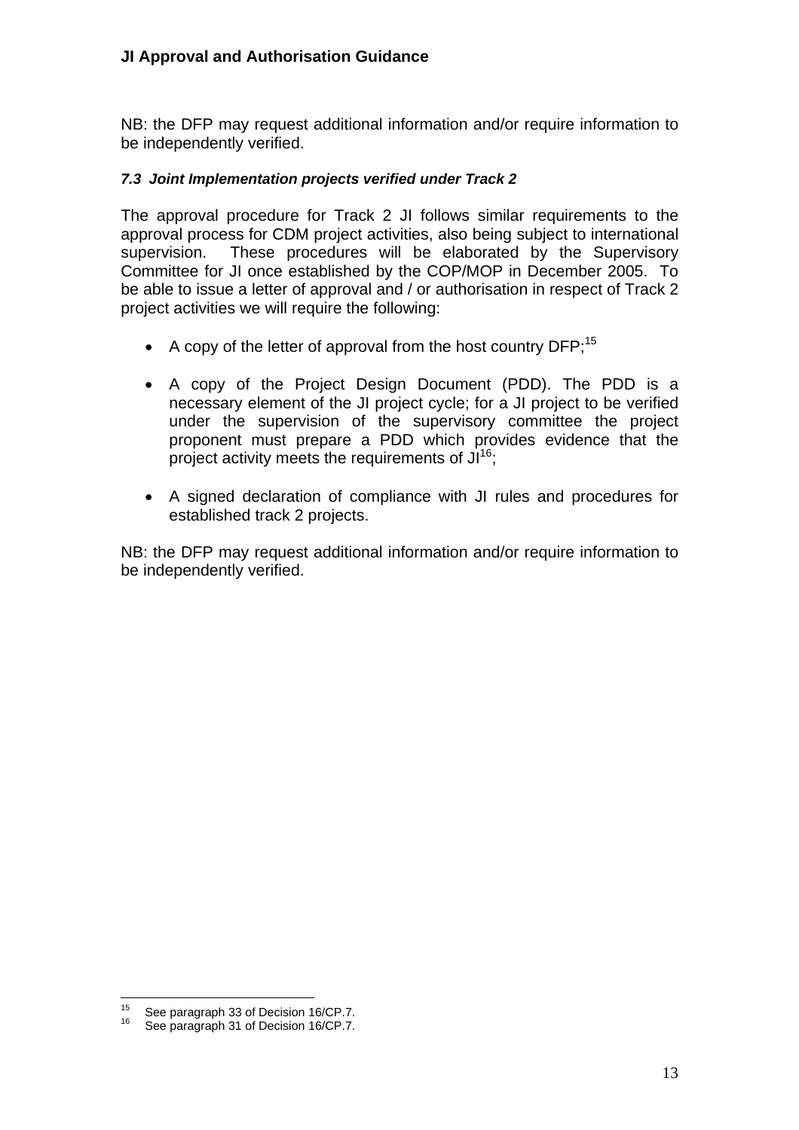NB: the DFP may request additional information and/or require information to be independently verified.

#### <span id="page-12-0"></span>*7.3 Joint Implementation projects verified under Track 2*

The approval procedure for Track 2 JI follows similar requirements to the approval process for CDM project activities, also being subject to international supervision. These procedures will be elaborated by the Supervisory Committee for JI once established by the COP/MOP in December 2005. To be able to issue a letter of approval and / or authorisation in respect of Track 2 project activities we will require the following:

- A copy of the letter of approval from the host country DFP:<sup>15</sup>
- A copy of the Project Design Document (PDD). The PDD is a necessary element of the JI project cycle; for a JI project to be verified under the supervision of the supervisory committee the project proponent must prepare a PDD which provides evidence that the project activity meets the requirements of  $JI^{16}$ .
- A signed declaration of compliance with JI rules and procedures for established track 2 projects.

NB: the DFP may request additional information and/or require information to be independently verified.

<span id="page-12-1"></span> $\frac{1}{15}$ <sup>15</sup> See paragraph 33 of Decision 16/CP.7.<br><sup>16</sup> See paragraph 31 of Decision 16/CP.7.

<span id="page-12-2"></span>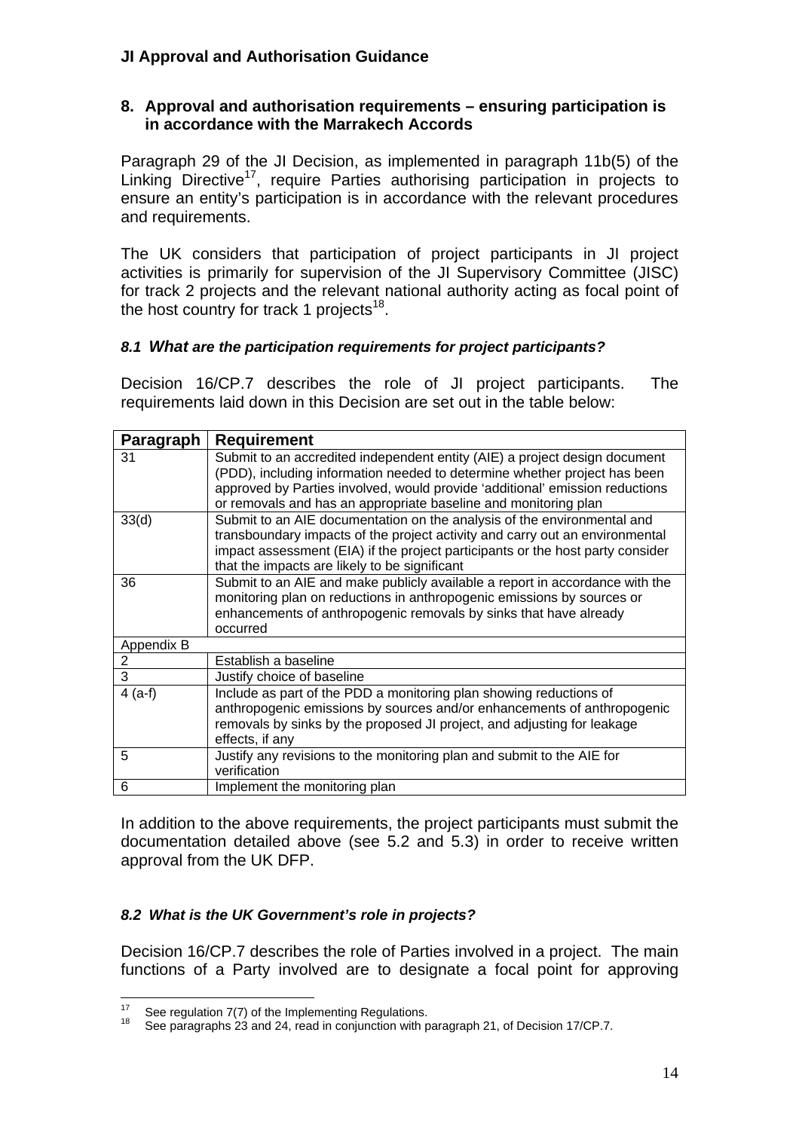#### <span id="page-13-0"></span>**8. Approval and authorisation requirements – ensuring participation is in accordance with the Marrakech Accords**

Paragraph 29 of the JI Decision, as implemented in paragraph 11b(5) of the Linking Directive<sup>17</sup>, require Parties authorising participation in projects to ensure an entity's participation is in accordance with the relevant procedures and requirements.

The UK considers that participation of project participants in JI project activities is primarily for supervision of the JI Supervisory Committee (JISC) for track 2 projects and the relevant national authority acting as focal point of the host country for track 1 projects<sup>18</sup>.

#### <span id="page-13-1"></span>*8.1 What are the participation requirements for project participants?*

Decision 16/CP.7 describes the role of JI project participants. The requirements laid down in this Decision are set out in the table below:

| Paragraph  | <b>Requirement</b>                                                                                                                                                                                                                                                                                         |
|------------|------------------------------------------------------------------------------------------------------------------------------------------------------------------------------------------------------------------------------------------------------------------------------------------------------------|
| 31         | Submit to an accredited independent entity (AIE) a project design document<br>(PDD), including information needed to determine whether project has been<br>approved by Parties involved, would provide 'additional' emission reductions<br>or removals and has an appropriate baseline and monitoring plan |
| 33(d)      | Submit to an AIE documentation on the analysis of the environmental and<br>transboundary impacts of the project activity and carry out an environmental<br>impact assessment (EIA) if the project participants or the host party consider<br>that the impacts are likely to be significant                 |
| 36         | Submit to an AIE and make publicly available a report in accordance with the<br>monitoring plan on reductions in anthropogenic emissions by sources or<br>enhancements of anthropogenic removals by sinks that have already<br>occurred                                                                    |
| Appendix B |                                                                                                                                                                                                                                                                                                            |
| 2          | Establish a baseline                                                                                                                                                                                                                                                                                       |
| 3          | Justify choice of baseline                                                                                                                                                                                                                                                                                 |
| $4(a-f)$   | Include as part of the PDD a monitoring plan showing reductions of<br>anthropogenic emissions by sources and/or enhancements of anthropogenic<br>removals by sinks by the proposed JI project, and adjusting for leakage<br>effects, if any                                                                |
| 5          | Justify any revisions to the monitoring plan and submit to the AIE for<br>verification                                                                                                                                                                                                                     |
| 6          | Implement the monitoring plan                                                                                                                                                                                                                                                                              |

In addition to the above requirements, the project participants must submit the documentation detailed above (see 5.2 and 5.3) in order to receive written approval from the UK DFP.

#### <span id="page-13-2"></span>*8.2 What is the UK Government's role in projects?*

Decision 16/CP.7 describes the role of Parties involved in a project. The main functions of a Party involved are to designate a focal point for approving

 $17<sup>17</sup>$ 

<span id="page-13-4"></span><span id="page-13-3"></span><sup>&</sup>lt;sup>17</sup> See regulation 7(7) of the Implementing Regulations.<br><sup>18</sup> See paragraphs 23 and 24, read in conjunction with paragraph 21, of Decision 17/CP.7.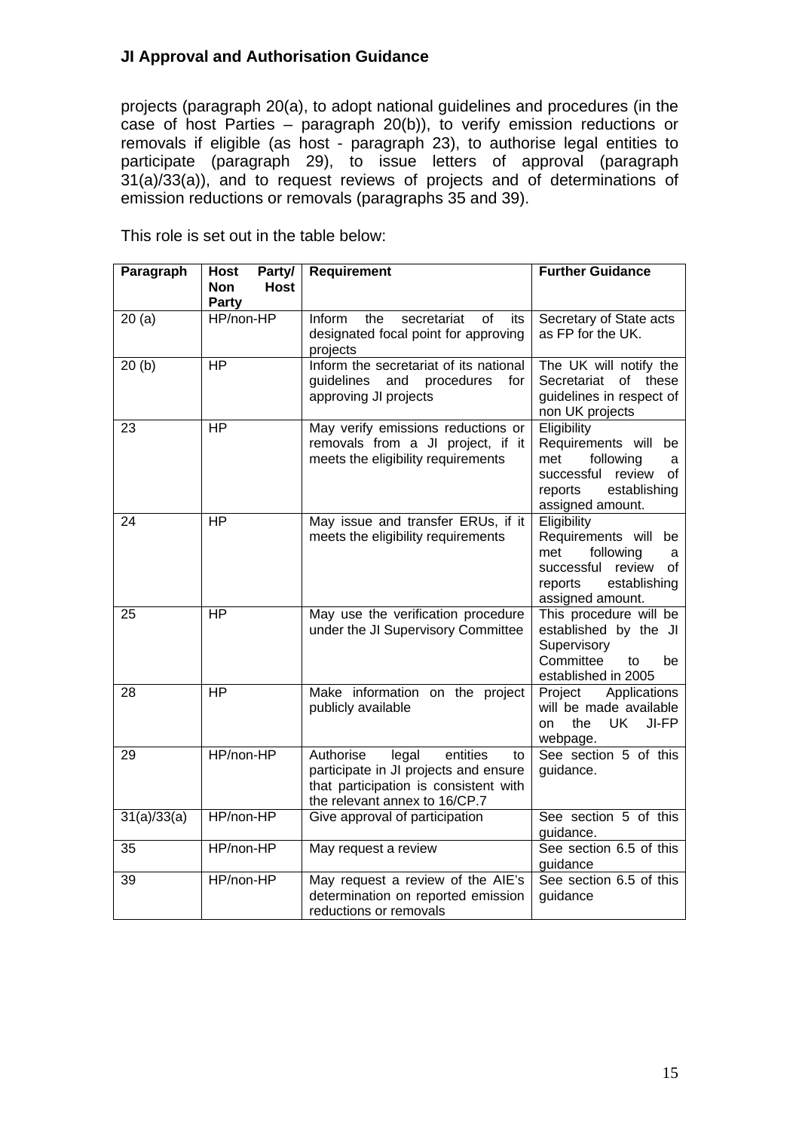projects (paragraph 20(a), to adopt national guidelines and procedures (in the case of host Parties – paragraph 20(b)), to verify emission reductions or removals if eligible (as host - paragraph 23), to authorise legal entities to participate (paragraph 29), to issue letters of approval (paragraph 31(a)/33(a)), and to request reviews of projects and of determinations of emission reductions or removals (paragraphs 35 and 39).

| Paragraph   | <b>Host</b><br>Party/<br><b>Host</b><br><b>Non</b><br>Party | <b>Requirement</b>                                                                                                                                      | <b>Further Guidance</b>                                                                                                                   |
|-------------|-------------------------------------------------------------|---------------------------------------------------------------------------------------------------------------------------------------------------------|-------------------------------------------------------------------------------------------------------------------------------------------|
| 20(a)       | HP/non-HP                                                   | Inform<br>the<br>of<br>secretariat<br>its<br>designated focal point for approving<br>projects                                                           | Secretary of State acts<br>as FP for the UK.                                                                                              |
| 20(b)       | $\overline{HP}$                                             | Inform the secretariat of its national<br>guidelines<br>and<br>procedures<br>for<br>approving JI projects                                               | The UK will notify the<br>Secretariat of these<br>guidelines in respect of<br>non UK projects                                             |
| 23          | <b>HP</b>                                                   | May verify emissions reductions or<br>removals from a JI project, if it<br>meets the eligibility requirements                                           | Eligibility<br>Requirements will be<br>following<br>met<br>a<br>successful review<br>0f<br>reports<br>establishing<br>assigned amount.    |
| 24          | <b>HP</b>                                                   | May issue and transfer ERUs, if it<br>meets the eligibility requirements                                                                                | Eligibility<br>Requirements will<br>be<br>met<br>following<br>a<br>successful review<br>οf<br>reports<br>establishing<br>assigned amount. |
| 25          | <b>HP</b>                                                   | May use the verification procedure<br>under the JI Supervisory Committee                                                                                | This procedure will be<br>established by the JI<br>Supervisory<br>Committee<br>to<br>be<br>established in 2005                            |
| 28          | <b>HP</b>                                                   | Make information on the project<br>publicly available                                                                                                   | Applications<br>Project<br>will be made available<br>JI-FP<br>the<br>UK<br>on<br>webpage.                                                 |
| 29          | HP/non-HP                                                   | Authorise<br>legal<br>entities<br>to<br>participate in JI projects and ensure<br>that participation is consistent with<br>the relevant annex to 16/CP.7 | See section 5 of this<br>guidance.                                                                                                        |
| 31(a)/33(a) | HP/non-HP                                                   | Give approval of participation                                                                                                                          | See section 5 of this<br>guidance.                                                                                                        |
| 35          | HP/non-HP                                                   | May request a review                                                                                                                                    | See section 6.5 of this<br>guidance                                                                                                       |
| 39          | HP/non-HP                                                   | May request a review of the AIE's<br>determination on reported emission<br>reductions or removals                                                       | See section 6.5 of this<br>guidance                                                                                                       |

This role is set out in the table below: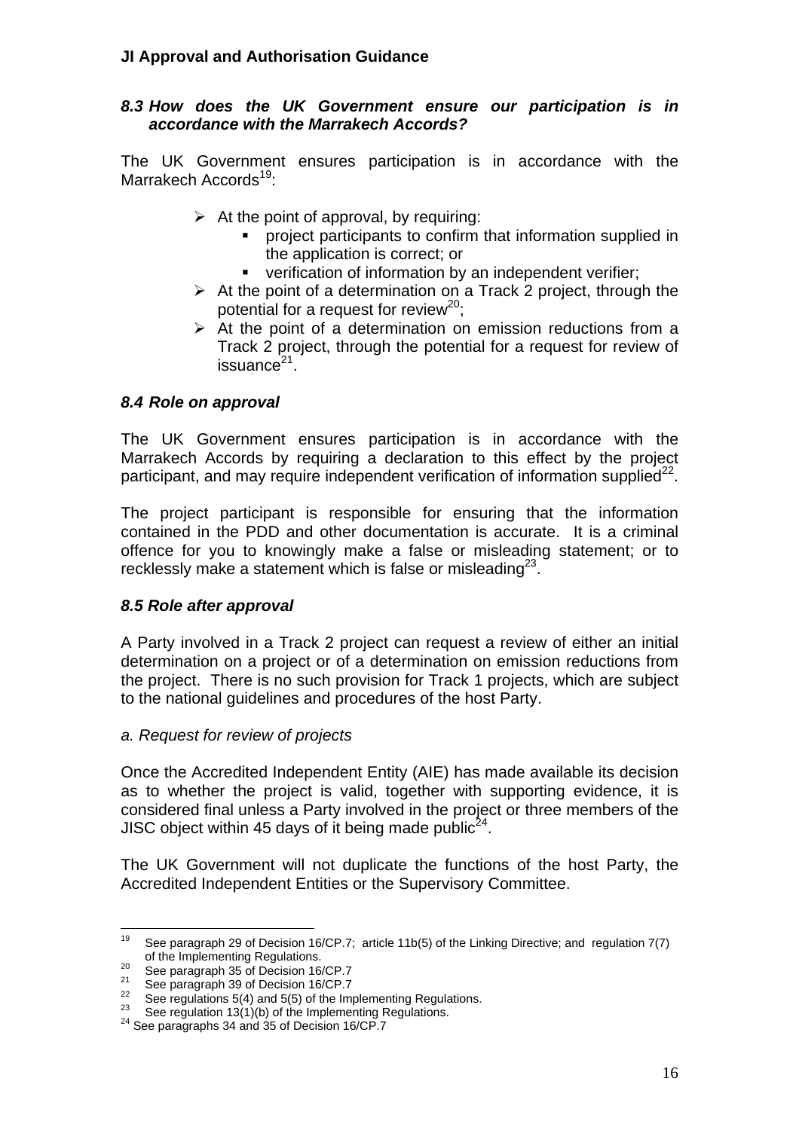#### <span id="page-15-0"></span>*8.3 How does the UK Government ensure our participation is in accordance with the Marrakech Accords?*

The UK Government ensures participation is in accordance with the Marrakech Accords<sup>19</sup>:

- $\triangleright$  At the point of approval, by requiring:
	- project participants to confirm that information supplied in the application is correct; or
	- verification of information by an independent verifier;
- $\triangleright$  At the point of a determination on a Track 2 project, through the potential for a request for review<sup>20</sup>;
- $\triangleright$  At the point of a determination on emission reductions from a Track 2 project, through the potential for a request for review of  $is$ suance $21$ .

## <span id="page-15-1"></span>*8.4 Role on approval*

The UK Government ensures participation is in accordance with the Marrakech Accords by requiring a declaration to this effect by the project participant, and may require independent verification of information supplied<sup>22</sup>.

The project participant is responsible for ensuring that the information contained in the PDD and other documentation is accurate. It is a criminal offence for you to knowingly make a false or misleading statement; or to recklessly make a statement which is false or misleading $23$ .

## <span id="page-15-2"></span>*8.5 Role after approval*

A Party involved in a Track 2 project can request a review of either an initial determination on a project or of a determination on emission reductions from the project. There is no such provision for Track 1 projects, which are subject to the national guidelines and procedures of the host Party.

#### *a. Request for review of projects*

Once the Accredited Independent Entity (AIE) has made available its decision as to whether the project is valid, together with supporting evidence, it is considered final unless a Party involved in the project or three members of the JISC object within 45 days of it being made public<sup>24</sup>.

The UK Government will not duplicate the functions of the host Party, the Accredited Independent Entities or the Supervisory Committee.

<span id="page-15-3"></span><sup>19</sup> See paragraph 29 of Decision 16/CP.7; article 11b(5) of the Linking Directive; and regulation 7(7)

<span id="page-15-4"></span>

<span id="page-15-6"></span><span id="page-15-5"></span>

<sup>%</sup> of the Implementing Regulations.<br>
<sup>20</sup> See paragraph 35 of Decision 16/CP.7<br>
<sup>21</sup> See paragraph 39 of Decision 16/CP.7<br>
<sup>22</sup> See regulations 5(4) and 5(5) of the Implementing Regulations.<br>
<sup>23</sup> See regulation 13(1)(b) o

<span id="page-15-7"></span>

<span id="page-15-8"></span>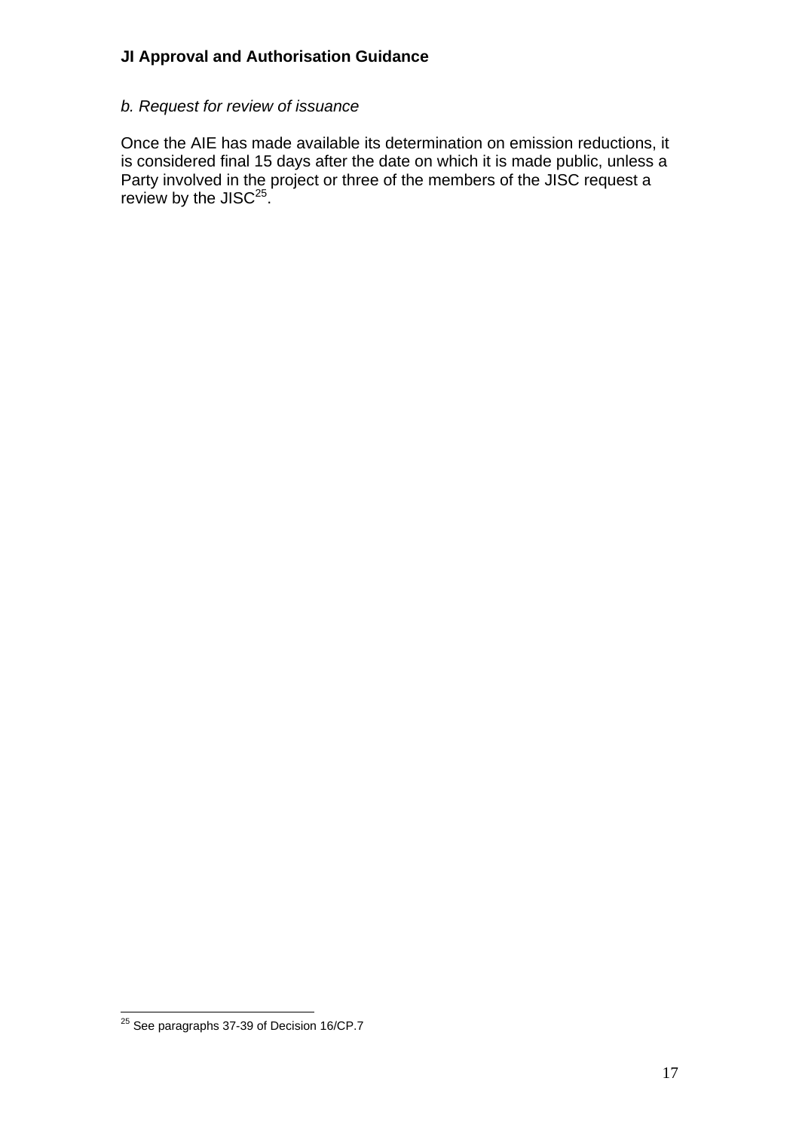#### *b. Request for review of issuance*

Once the AIE has made available its determination on emission reductions, it is considered final 15 days after the date on which it is made public, unless a Party involved in the project or three of the members of the JISC request a review by the JISC $^{25}$ .

<span id="page-16-0"></span> $\overline{a}$  $^{25}$  See paragraphs 37-39 of Decision 16/CP.7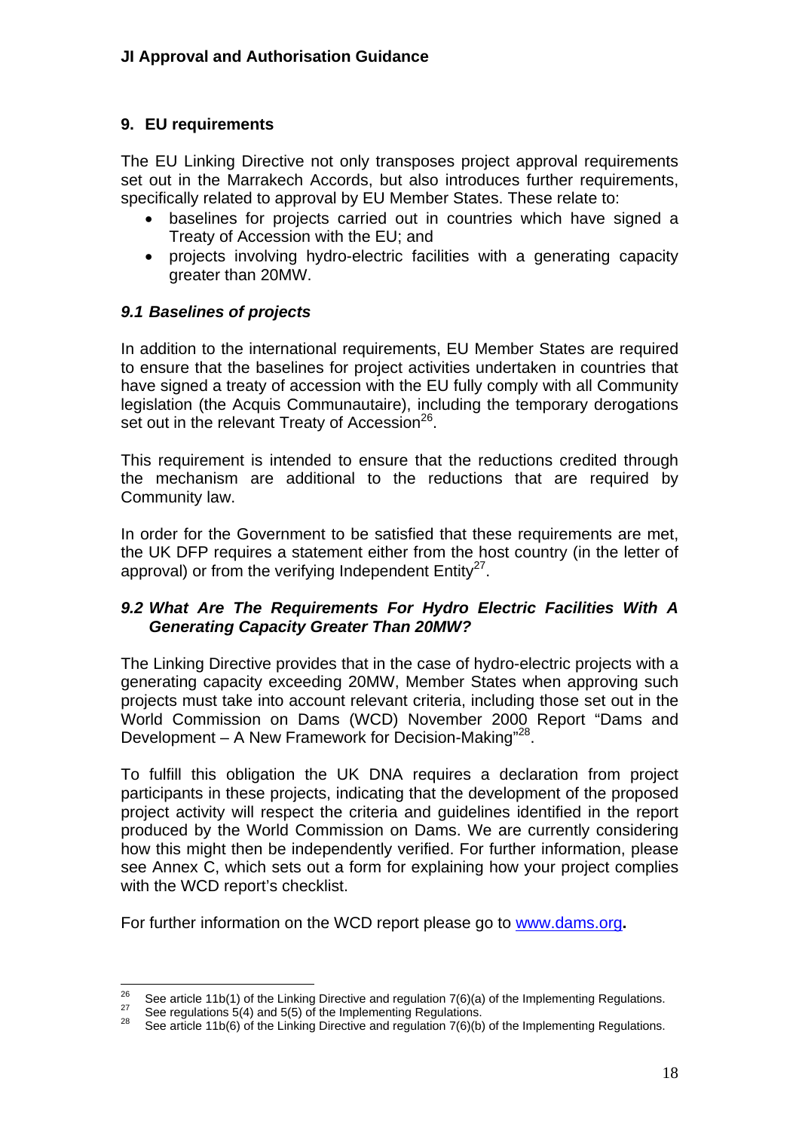### <span id="page-17-0"></span>**9. EU requirements**

The EU Linking Directive not only transposes project approval requirements set out in the Marrakech Accords, but also introduces further requirements, specifically related to approval by EU Member States. These relate to:

- baselines for projects carried out in countries which have signed a Treaty of Accession with the EU; and
- projects involving hydro-electric facilities with a generating capacity greater than 20MW.

#### <span id="page-17-1"></span>*9.1 Baselines of projects*

In addition to the international requirements, EU Member States are required to ensure that the baselines for project activities undertaken in countries that have signed a treaty of accession with the EU fully comply with all Community legislation (the Acquis Communautaire), including the temporary derogations set out in the relevant Treaty of Accession<sup>26</sup>.

This requirement is intended to ensure that the reductions credited through the mechanism are additional to the reductions that are required by Community law.

In order for the Government to be satisfied that these requirements are met, the UK DFP requires a statement either from the host country (in the letter of approval) or from the verifying Independent  $Entity^{27}$ .

#### <span id="page-17-2"></span>*9.2 What Are The Requirements For Hydro Electric Facilities With A Generating Capacity Greater Than 20MW?*

The Linking Directive provides that in the case of hydro-electric projects with a generating capacity exceeding 20MW, Member States when approving such projects must take into account relevant criteria, including those set out in the World Commission on Dams (WCD) November 2000 Report "Dams and Development – A New Framework for Decision-Making"<sup>28</sup>.

To fulfill this obligation the UK DNA requires a declaration from project participants in these projects, indicating that the development of the proposed project activity will respect the criteria and guidelines identified in the report produced by the World Commission on Dams. We are currently considering how this might then be independently verified. For further information, please see Annex C, which sets out a form for explaining how your project complies with the WCD report's checklist.

For further information on the WCD report please go to [www.dams.org](http://www.dams.org/)**.** 

<span id="page-17-3"></span><sup>26</sup> <sup>26</sup> See article 11b(1) of the Linking Directive and regulation 7(6)(a) of the Implementing Regulations.<br><sup>27</sup> See regulations 5(4) and 5(5) of the Implementing Regulations.<br><sup>28</sup> See article 11b(6) of the Linking Directive

<span id="page-17-4"></span>

<span id="page-17-5"></span>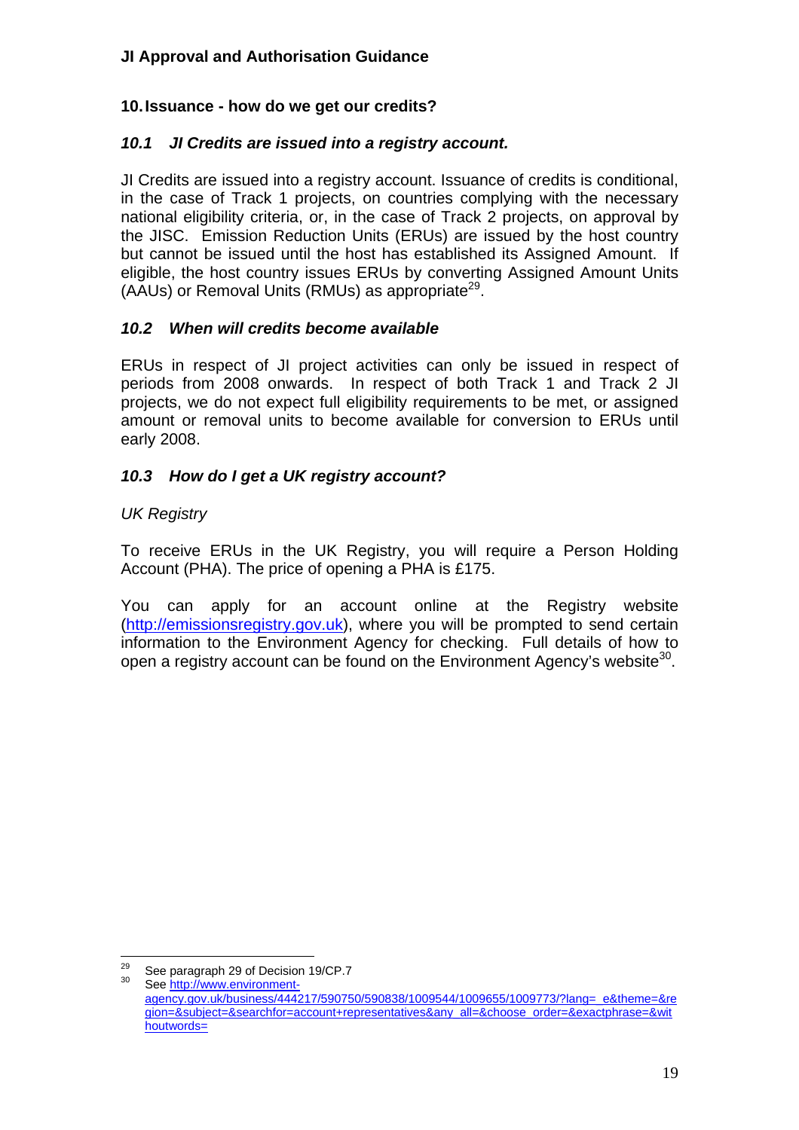## <span id="page-18-0"></span>**10. Issuance - how do we get our credits?**

#### <span id="page-18-1"></span>*10.1 JI Credits are issued into a registry account.*

JI Credits are issued into a registry account. Issuance of credits is conditional, in the case of Track 1 projects, on countries complying with the necessary national eligibility criteria, or, in the case of Track 2 projects, on approval by the JISC. Emission Reduction Units (ERUs) are issued by the host country but cannot be issued until the host has established its Assigned Amount. If eligible, the host country issues ERUs by converting Assigned Amount Units (AAUs) or Removal Units (RMUs) as appropriate<sup>29</sup>.

#### <span id="page-18-2"></span>*10.2 When will credits become available*

ERUs in respect of JI project activities can only be issued in respect of periods from 2008 onwards. In respect of both Track 1 and Track 2 JI projects, we do not expect full eligibility requirements to be met, or assigned amount or removal units to become available for conversion to ERUs until early 2008.

#### <span id="page-18-3"></span>*10.3 How do I get a UK registry account?*

## *UK Registry*

To receive ERUs in the UK Registry, you will require a Person Holding Account (PHA). The price of opening a PHA is £175.

You can apply for an account online at the Registry website ([http://emissionsregistry.gov.uk\)](http://emissionsregistry.gov.uk/), where you will be prompted to send certain information to the Environment Agency for checking. Full details of how to open a registry account can be found on the Environment Agency's website<sup>30</sup>.

<span id="page-18-4"></span> $29$ See paragraph 29 of Decision 19/CP.7<br>See http://www.environment-

<span id="page-18-5"></span>agency.gov.uk/business/444217/590750/590838/1009544/1009655/1009773/?lang=\_e&theme=&re gion=&subject=&searchfor=account+representatives&any\_all=&choose\_order=&exactphrase=&wit houtwords=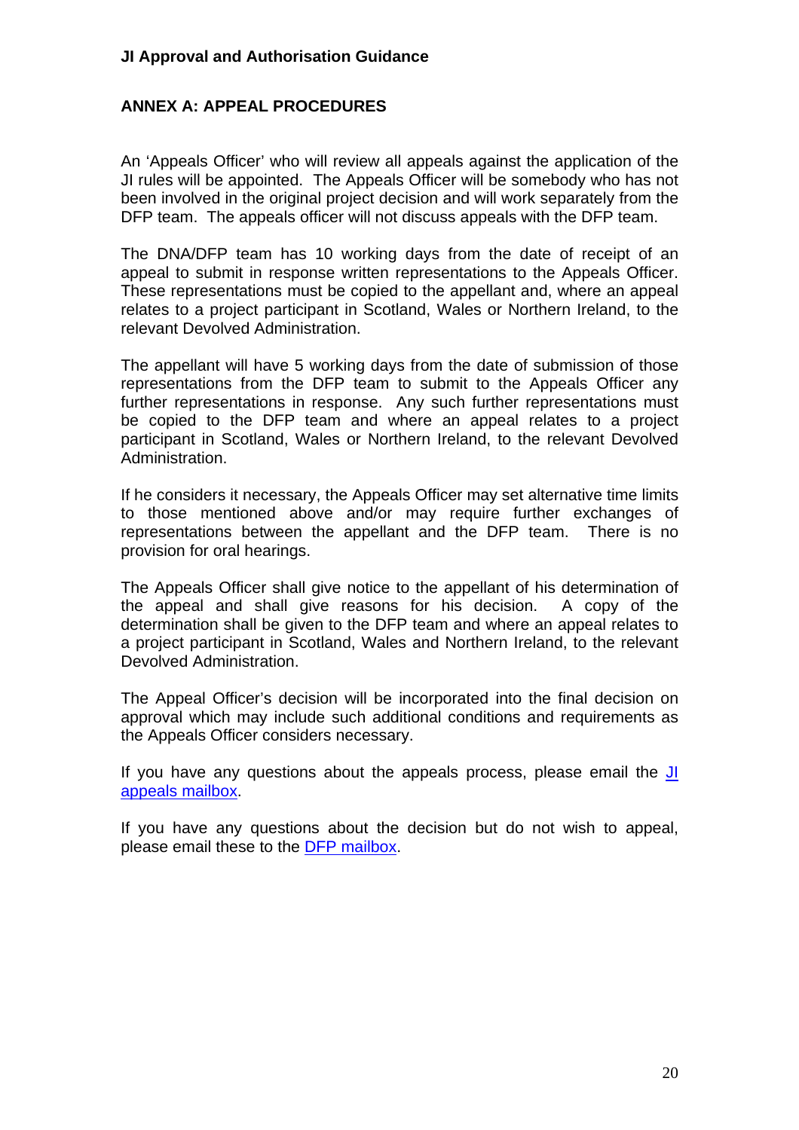#### <span id="page-19-0"></span>**ANNEX A: APPEAL PROCEDURES**

An 'Appeals Officer' who will review all appeals against the application of the JI rules will be appointed. The Appeals Officer will be somebody who has not been involved in the original project decision and will work separately from the DFP team. The appeals officer will not discuss appeals with the DFP team.

The DNA/DFP team has 10 working days from the date of receipt of an appeal to submit in response written representations to the Appeals Officer. These representations must be copied to the appellant and, where an appeal relates to a project participant in Scotland, Wales or Northern Ireland, to the relevant Devolved Administration.

The appellant will have 5 working days from the date of submission of those representations from the DFP team to submit to the Appeals Officer any further representations in response. Any such further representations must be copied to the DFP team and where an appeal relates to a project participant in Scotland, Wales or Northern Ireland, to the relevant Devolved Administration.

If he considers it necessary, the Appeals Officer may set alternative time limits to those mentioned above and/or may require further exchanges of representations between the appellant and the DFP team. There is no provision for oral hearings.

The Appeals Officer shall give notice to the appellant of his determination of the appeal and shall give reasons for his decision. A copy of the determination shall be given to the DFP team and where an appeal relates to a project participant in Scotland, Wales and Northern Ireland, to the relevant Devolved Administration.

The Appeal Officer's decision will be incorporated into the final decision on approval which may include such additional conditions and requirements as the Appeals Officer considers necessary.

If you have any questions about the appeals process, please email the [JI](mailto:jiappeals@defra.gsi.co.uk)  [appeals mailbox.](mailto:jiappeals@defra.gsi.co.uk)

If you have any questions about the decision but do not wish to appeal, please email these to the [DFP mailbox.](mailto:jifp@defra.gsi.co.uk)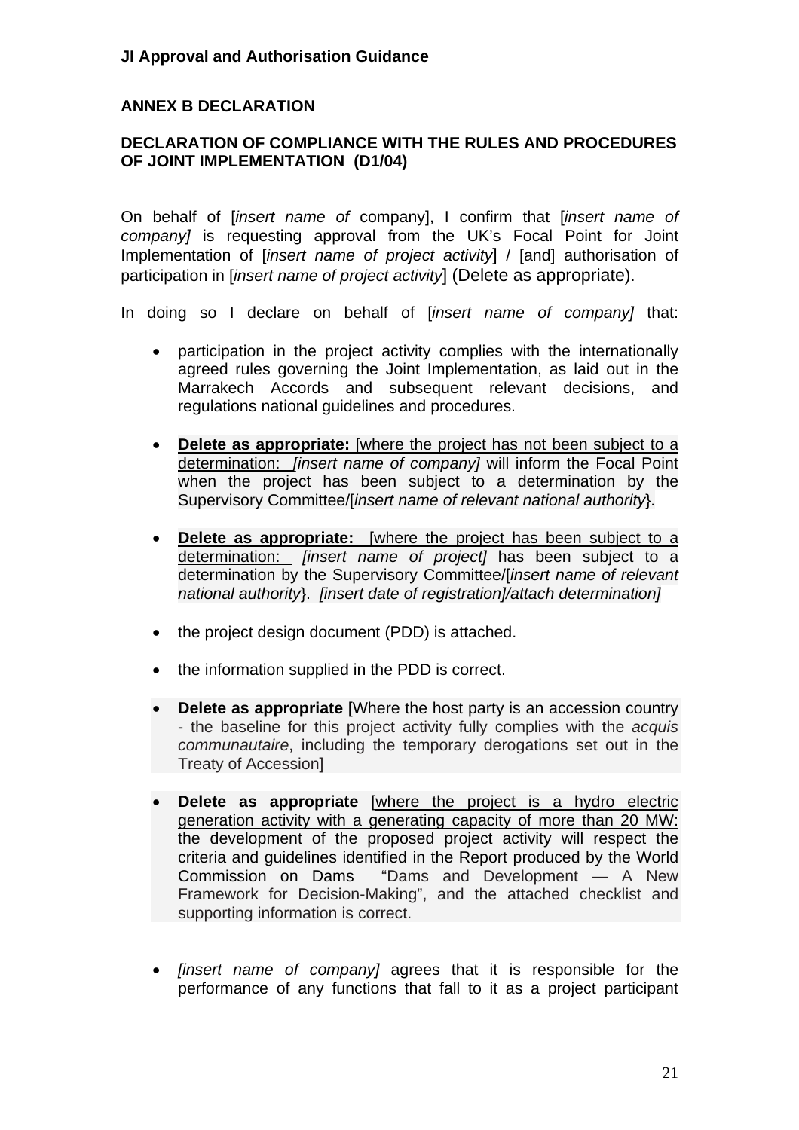### <span id="page-20-0"></span>**ANNEX B DECLARATION**

#### <span id="page-20-1"></span>**DECLARATION OF COMPLIANCE WITH THE RULES AND PROCEDURES OF JOINT IMPLEMENTATION (D1/04)**

On behalf of [*insert name of* company], I confirm that [*insert name of company]* is requesting approval from the UK's Focal Point for Joint Implementation of [*insert name of project activity*] / [and] authorisation of participation in [*insert name of project activity*] (Delete as appropriate).

In doing so I declare on behalf of [*insert name of company]* that:

- participation in the project activity complies with the internationally agreed rules governing the Joint Implementation, as laid out in the Marrakech Accords and subsequent relevant decisions, and regulations national guidelines and procedures.
- **Delete as appropriate:** [where the project has not been subject to a determination: *[insert name of company]* will inform the Focal Point when the project has been subject to a determination by the Supervisory Committee/[*insert name of relevant national authority*}.
- **Delete as appropriate:** [where the project has been subject to a determination: *[insert name of project]* has been subject to a determination by the Supervisory Committee/[*insert name of relevant national authority*}. *[insert date of registration]/attach determination]*
- the project design document (PDD) is attached.
- the information supplied in the PDD is correct.
- **Delete as appropriate** [Where the host party is an accession country - the baseline for this project activity fully complies with the *acquis communautaire*, including the temporary derogations set out in the Treaty of Accession]
- **Delete as appropriate** [where the project is a hydro electric generation activity with a generating capacity of more than 20 MW: the development of the proposed project activity will respect the criteria and guidelines identified in the Report produced by the World Commission on Dams "Dams and Development — A New Framework for Decision-Making", and the attached checklist and supporting information is correct.
- *[insert name of company]* agrees that it is responsible for the performance of any functions that fall to it as a project participant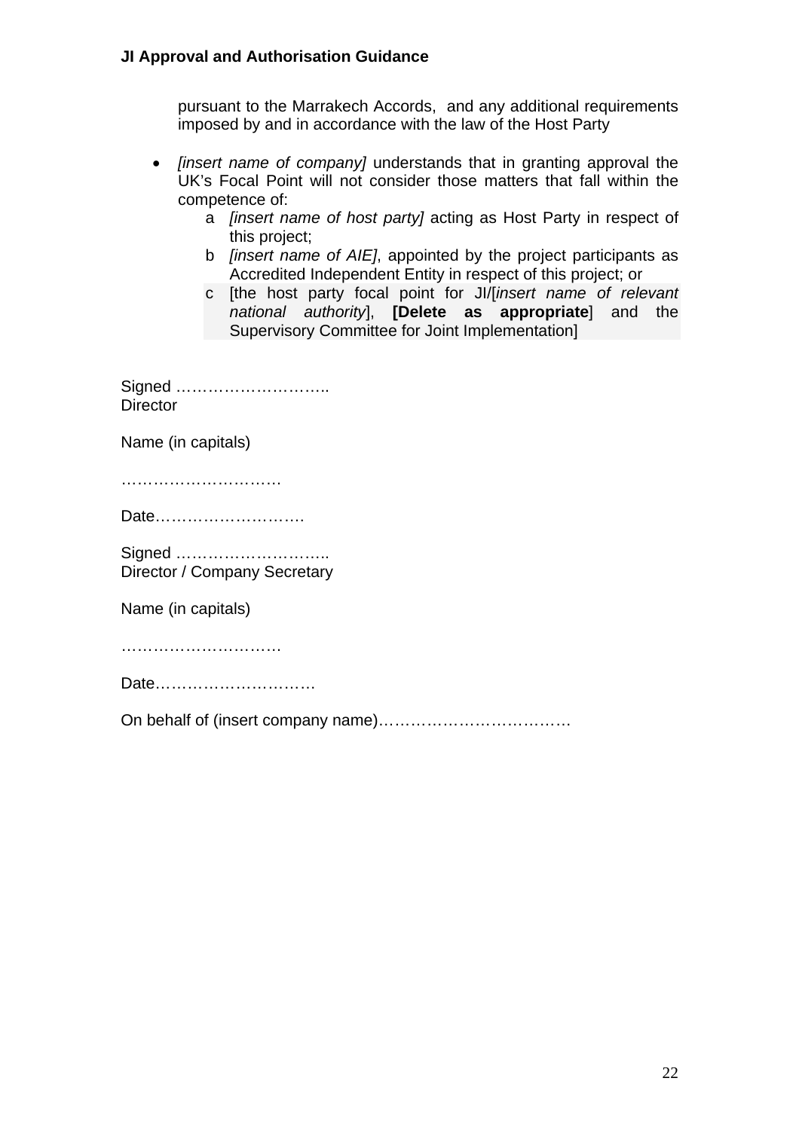pursuant to the Marrakech Accords, and any additional requirements imposed by and in accordance with the law of the Host Party

- *[insert name of company]* understands that in granting approval the UK's Focal Point will not consider those matters that fall within the competence of:
	- a *[insert name of host party]* acting as Host Party in respect of this project;
	- b *[insert name of AIE]*, appointed by the project participants as Accredited Independent Entity in respect of this project; or
	- c [the host party focal point for JI/[*insert name of relevant national authority*], **[Delete as appropriate**] and the Supervisory Committee for Joint Implementation]

Signed ……………………….. **Director** 

Name (in capitals)

…………………………

Date……………………….

Signed ……………………….. Director / Company Secretary

Name (in capitals)

……………………………………

Date…………………………

On behalf of (insert company name)………………………………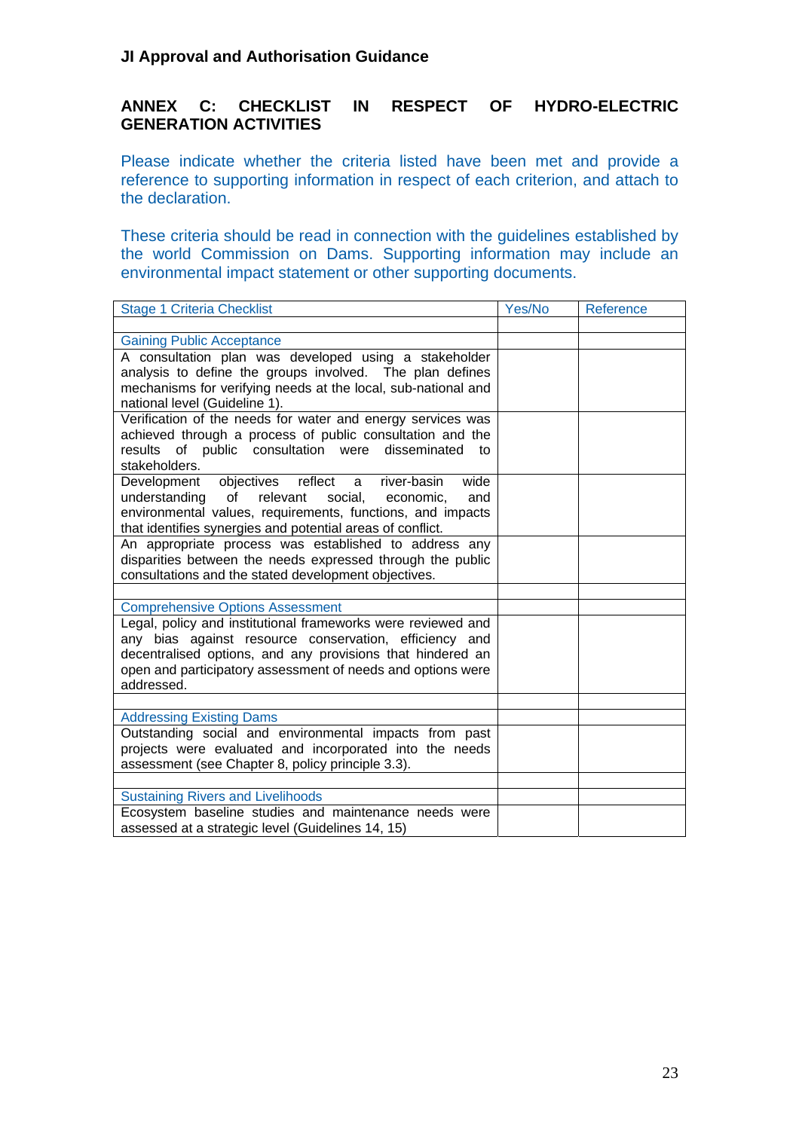#### <span id="page-22-0"></span>**ANNEX C: CHECKLIST IN RESPECT OF HYDRO-ELECTRIC GENERATION ACTIVITIES**

Please indicate whether the criteria listed have been met and provide a reference to supporting information in respect of each criterion, and attach to the declaration.

These criteria should be read in connection with the guidelines established by the world Commission on Dams. Supporting information may include an environmental impact statement or other supporting documents.

| <b>Stage 1 Criteria Checklist</b>                                                                                                                                                                                                                                 | Yes/No | Reference |
|-------------------------------------------------------------------------------------------------------------------------------------------------------------------------------------------------------------------------------------------------------------------|--------|-----------|
|                                                                                                                                                                                                                                                                   |        |           |
| <b>Gaining Public Acceptance</b>                                                                                                                                                                                                                                  |        |           |
| A consultation plan was developed using a stakeholder<br>analysis to define the groups involved. The plan defines<br>mechanisms for verifying needs at the local, sub-national and<br>national level (Guideline 1).                                               |        |           |
| Verification of the needs for water and energy services was<br>achieved through a process of public consultation and the<br>results of public consultation were disseminated<br>to<br>stakeholders.                                                               |        |           |
| objectives reflect<br>river-basin<br>wide<br>Development<br>a<br>understanding<br>relevant<br>of<br>social,<br>and<br>economic,<br>environmental values, requirements, functions, and impacts<br>that identifies synergies and potential areas of conflict.       |        |           |
| An appropriate process was established to address any<br>disparities between the needs expressed through the public<br>consultations and the stated development objectives.                                                                                       |        |           |
|                                                                                                                                                                                                                                                                   |        |           |
| <b>Comprehensive Options Assessment</b>                                                                                                                                                                                                                           |        |           |
| Legal, policy and institutional frameworks were reviewed and<br>any bias against resource conservation, efficiency and<br>decentralised options, and any provisions that hindered an<br>open and participatory assessment of needs and options were<br>addressed. |        |           |
|                                                                                                                                                                                                                                                                   |        |           |
| <b>Addressing Existing Dams</b>                                                                                                                                                                                                                                   |        |           |
| Outstanding social and environmental impacts from past<br>projects were evaluated and incorporated into the needs<br>assessment (see Chapter 8, policy principle 3.3).                                                                                            |        |           |
|                                                                                                                                                                                                                                                                   |        |           |
| <b>Sustaining Rivers and Livelihoods</b>                                                                                                                                                                                                                          |        |           |
| Ecosystem baseline studies and maintenance needs were<br>assessed at a strategic level (Guidelines 14, 15)                                                                                                                                                        |        |           |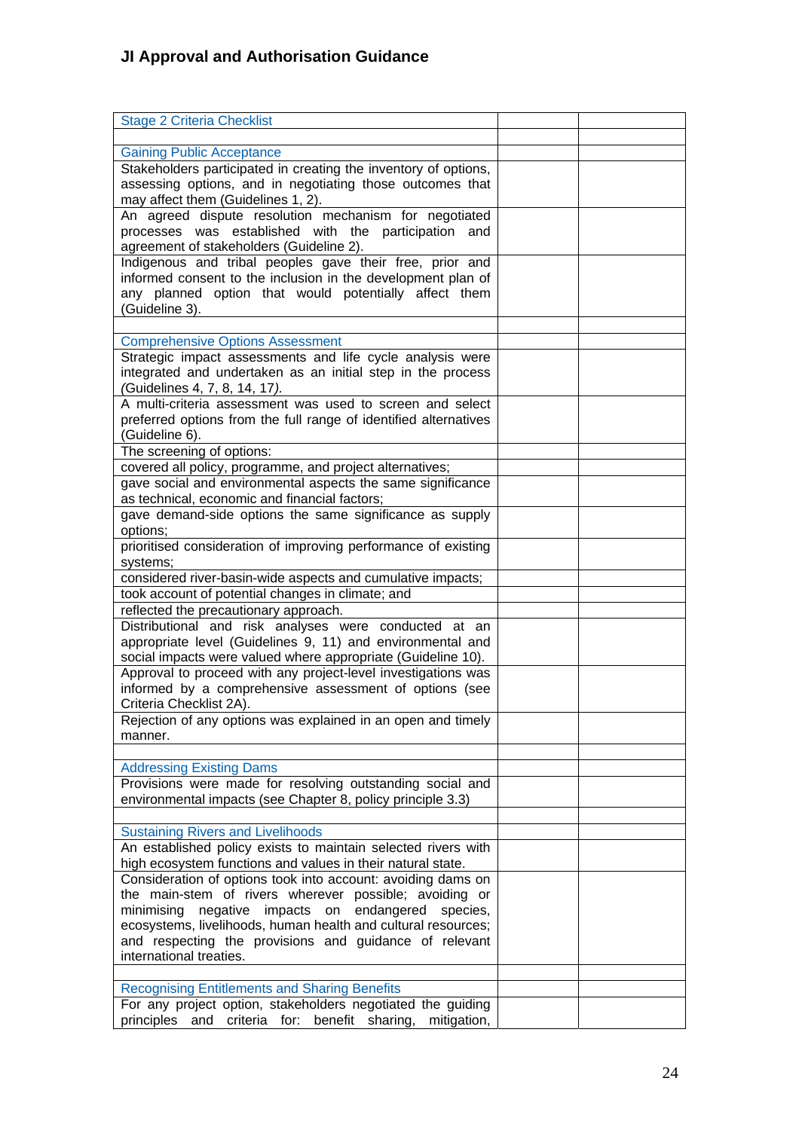| <b>Stage 2 Criteria Checklist</b>                                                            |  |
|----------------------------------------------------------------------------------------------|--|
|                                                                                              |  |
|                                                                                              |  |
| <b>Gaining Public Acceptance</b>                                                             |  |
| Stakeholders participated in creating the inventory of options,                              |  |
| assessing options, and in negotiating those outcomes that                                    |  |
| may affect them (Guidelines 1, 2).                                                           |  |
| An agreed dispute resolution mechanism for negotiated                                        |  |
| processes was established with the participation<br>and                                      |  |
| agreement of stakeholders (Guideline 2).                                                     |  |
| Indigenous and tribal peoples gave their free, prior and                                     |  |
| informed consent to the inclusion in the development plan of                                 |  |
| any planned option that would potentially affect them                                        |  |
| (Guideline 3).                                                                               |  |
|                                                                                              |  |
| <b>Comprehensive Options Assessment</b>                                                      |  |
|                                                                                              |  |
| Strategic impact assessments and life cycle analysis were                                    |  |
| integrated and undertaken as an initial step in the process                                  |  |
| (Guidelines 4, 7, 8, 14, 17).                                                                |  |
| A multi-criteria assessment was used to screen and select                                    |  |
| preferred options from the full range of identified alternatives                             |  |
| (Guideline 6).                                                                               |  |
| The screening of options:                                                                    |  |
| covered all policy, programme, and project alternatives;                                     |  |
| gave social and environmental aspects the same significance                                  |  |
| as technical, economic and financial factors;                                                |  |
| gave demand-side options the same significance as supply                                     |  |
| options;                                                                                     |  |
|                                                                                              |  |
| prioritised consideration of improving performance of existing                               |  |
| systems;                                                                                     |  |
| considered river-basin-wide aspects and cumulative impacts;                                  |  |
| took account of potential changes in climate; and                                            |  |
| reflected the precautionary approach.                                                        |  |
| Distributional and risk analyses were conducted at an                                        |  |
| appropriate level (Guidelines 9, 11) and environmental and                                   |  |
| social impacts were valued where appropriate (Guideline 10).                                 |  |
| Approval to proceed with any project-level investigations was                                |  |
| informed by a comprehensive assessment of options (see                                       |  |
| Criteria Checklist 2A).                                                                      |  |
| Rejection of any options was explained in an open and timely                                 |  |
| manner.                                                                                      |  |
|                                                                                              |  |
|                                                                                              |  |
| <b>Addressing Existing Dams</b><br>Provisions were made for resolving outstanding social and |  |
|                                                                                              |  |
| environmental impacts (see Chapter 8, policy principle 3.3)                                  |  |
|                                                                                              |  |
| <b>Sustaining Rivers and Livelihoods</b>                                                     |  |
| An established policy exists to maintain selected rivers with                                |  |
| high ecosystem functions and values in their natural state.                                  |  |
| Consideration of options took into account: avoiding dams on                                 |  |
| the main-stem of rivers wherever possible; avoiding or                                       |  |
| minimising<br>negative impacts on<br>endangered<br>species,                                  |  |
| ecosystems, livelihoods, human health and cultural resources;                                |  |
| and respecting the provisions and guidance of relevant                                       |  |
| international treaties.                                                                      |  |
|                                                                                              |  |
| <b>Recognising Entitlements and Sharing Benefits</b>                                         |  |
|                                                                                              |  |
| For any project option, stakeholders negotiated the guiding                                  |  |
| benefit sharing,<br>principles and criteria for:<br>mitigation,                              |  |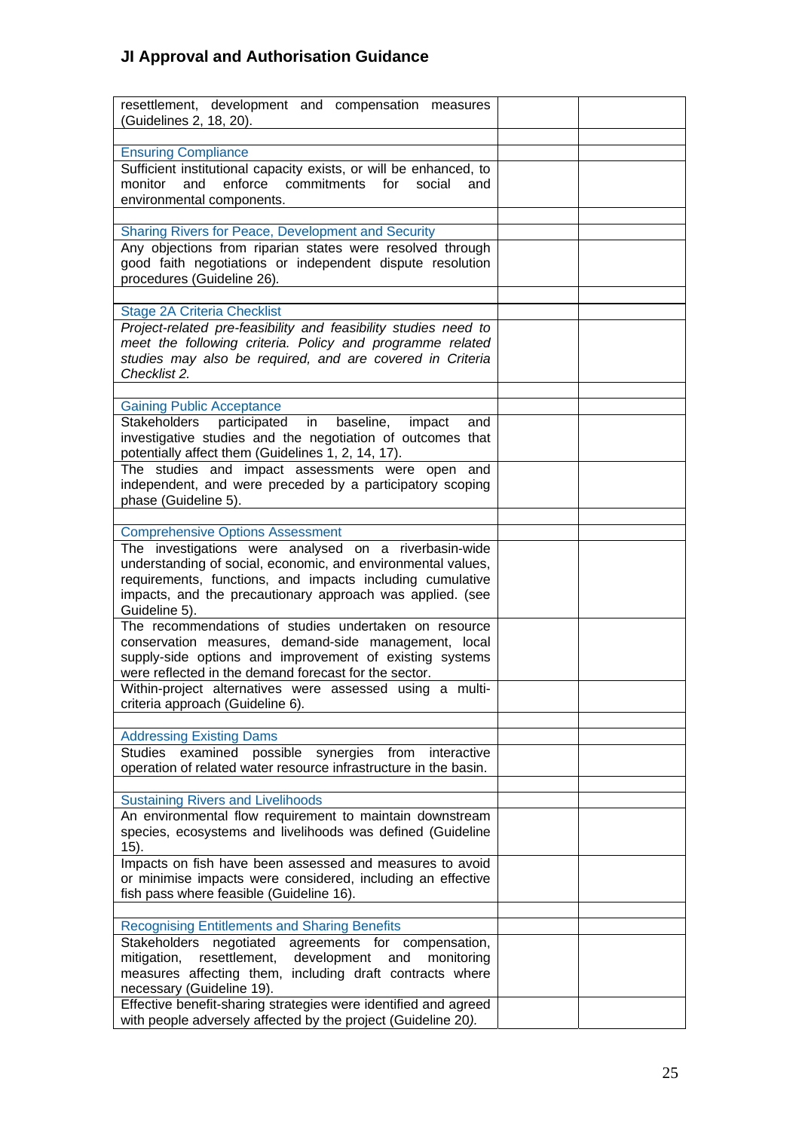| resettlement, development and compensation measures<br>(Guidelines 2, 18, 20). |  |
|--------------------------------------------------------------------------------|--|
|                                                                                |  |
| <b>Ensuring Compliance</b>                                                     |  |
| Sufficient institutional capacity exists, or will be enhanced, to              |  |
| and enforce commitments for<br>monitor<br>social<br>and                        |  |
| environmental components.                                                      |  |
|                                                                                |  |
| Sharing Rivers for Peace, Development and Security                             |  |
| Any objections from riparian states were resolved through                      |  |
| good faith negotiations or independent dispute resolution                      |  |
|                                                                                |  |
| procedures (Guideline 26).                                                     |  |
|                                                                                |  |
| <b>Stage 2A Criteria Checklist</b>                                             |  |
| Project-related pre-feasibility and feasibility studies need to                |  |
| meet the following criteria. Policy and programme related                      |  |
| studies may also be required, and are covered in Criteria                      |  |
| Checklist 2.                                                                   |  |
|                                                                                |  |
| <b>Gaining Public Acceptance</b>                                               |  |
| participated in baseline,<br><b>Stakeholders</b><br>impact<br>and              |  |
| investigative studies and the negotiation of outcomes that                     |  |
|                                                                                |  |
| potentially affect them (Guidelines 1, 2, 14, 17).                             |  |
| The studies and impact assessments were open and                               |  |
| independent, and were preceded by a participatory scoping                      |  |
| phase (Guideline 5).                                                           |  |
|                                                                                |  |
| <b>Comprehensive Options Assessment</b>                                        |  |
| The investigations were analysed on a riverbasin-wide                          |  |
| understanding of social, economic, and environmental values,                   |  |
| requirements, functions, and impacts including cumulative                      |  |
| impacts, and the precautionary approach was applied. (see                      |  |
| Guideline 5).                                                                  |  |
| The recommendations of studies undertaken on resource                          |  |
| conservation measures, demand-side management, local                           |  |
| supply-side options and improvement of existing systems                        |  |
| were reflected in the demand forecast for the sector.                          |  |
|                                                                                |  |
| Within-project alternatives were assessed using a multi-                       |  |
| criteria approach (Guideline 6).                                               |  |
|                                                                                |  |
| <b>Addressing Existing Dams</b>                                                |  |
| possible<br><b>Studies</b><br>examined<br>synergies<br>from<br>interactive     |  |
| operation of related water resource infrastructure in the basin.               |  |
|                                                                                |  |
| <b>Sustaining Rivers and Livelihoods</b>                                       |  |
| An environmental flow requirement to maintain downstream                       |  |
| species, ecosystems and livelihoods was defined (Guideline                     |  |
| 15).                                                                           |  |
| Impacts on fish have been assessed and measures to avoid                       |  |
| or minimise impacts were considered, including an effective                    |  |
| fish pass where feasible (Guideline 16).                                       |  |
|                                                                                |  |
|                                                                                |  |
| <b>Recognising Entitlements and Sharing Benefits</b>                           |  |
| Stakeholders<br>negotiated agreements for compensation,                        |  |
| mitigation, resettlement,<br>development<br>and<br>monitoring                  |  |
| measures affecting them, including draft contracts where                       |  |
| necessary (Guideline 19).                                                      |  |
| Effective benefit-sharing strategies were identified and agreed                |  |
| with people adversely affected by the project (Guideline 20).                  |  |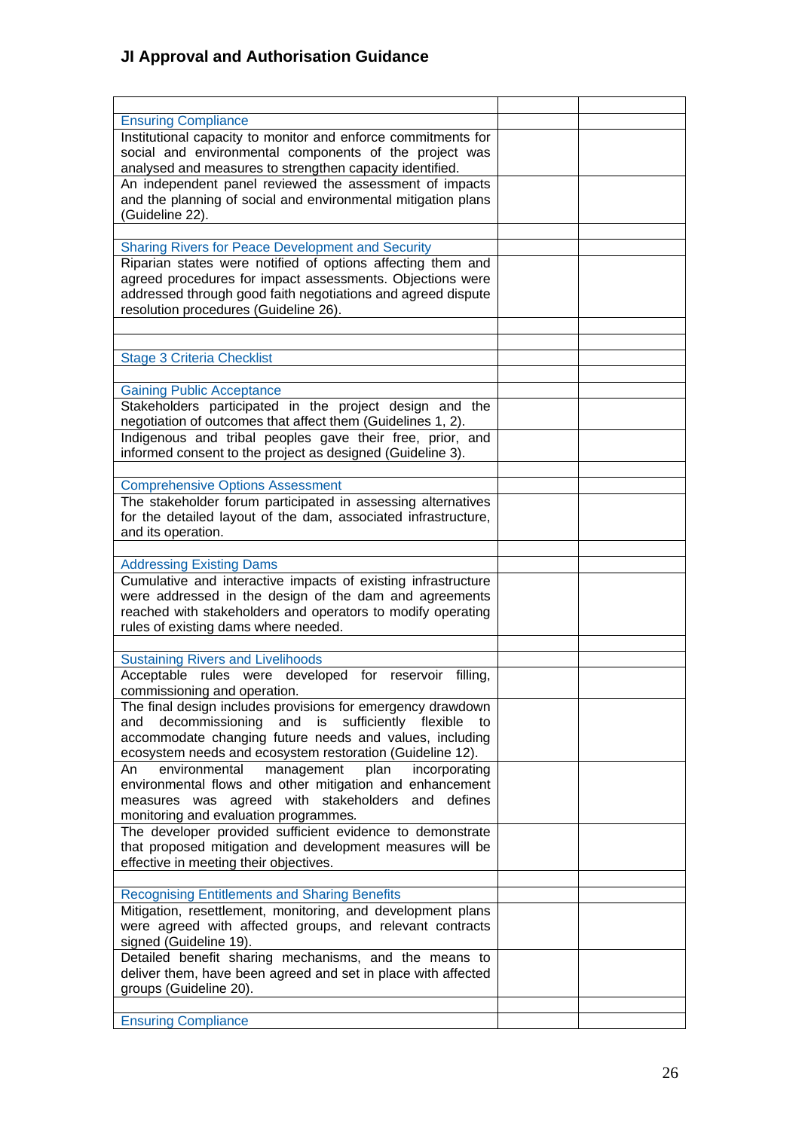| <b>Ensuring Compliance</b>                                     |  |
|----------------------------------------------------------------|--|
| Institutional capacity to monitor and enforce commitments for  |  |
| social and environmental components of the project was         |  |
| analysed and measures to strengthen capacity identified.       |  |
| An independent panel reviewed the assessment of impacts        |  |
|                                                                |  |
| and the planning of social and environmental mitigation plans  |  |
| (Guideline 22).                                                |  |
|                                                                |  |
| <b>Sharing Rivers for Peace Development and Security</b>       |  |
| Riparian states were notified of options affecting them and    |  |
| agreed procedures for impact assessments. Objections were      |  |
| addressed through good faith negotiations and agreed dispute   |  |
| resolution procedures (Guideline 26).                          |  |
|                                                                |  |
|                                                                |  |
| <b>Stage 3 Criteria Checklist</b>                              |  |
|                                                                |  |
|                                                                |  |
| <b>Gaining Public Acceptance</b>                               |  |
| Stakeholders participated in the project design and the        |  |
| negotiation of outcomes that affect them (Guidelines 1, 2).    |  |
| Indigenous and tribal peoples gave their free, prior, and      |  |
| informed consent to the project as designed (Guideline 3).     |  |
|                                                                |  |
| <b>Comprehensive Options Assessment</b>                        |  |
| The stakeholder forum participated in assessing alternatives   |  |
| for the detailed layout of the dam, associated infrastructure, |  |
| and its operation.                                             |  |
|                                                                |  |
| <b>Addressing Existing Dams</b>                                |  |
| Cumulative and interactive impacts of existing infrastructure  |  |
|                                                                |  |
| were addressed in the design of the dam and agreements         |  |
| reached with stakeholders and operators to modify operating    |  |
| rules of existing dams where needed.                           |  |
|                                                                |  |
| <b>Sustaining Rivers and Livelihoods</b>                       |  |
| Acceptable rules were developed for reservoir filling,         |  |
| commissioning and operation.                                   |  |
| The final design includes provisions for emergency drawdown    |  |
| decommissioning and is<br>sufficiently flexible<br>and<br>to   |  |
| accommodate changing future needs and values, including        |  |
| ecosystem needs and ecosystem restoration (Guideline 12).      |  |
| environmental<br>management<br>plan<br>incorporating<br>An     |  |
| environmental flows and other mitigation and enhancement       |  |
| measures was agreed with stakeholders and defines              |  |
| monitoring and evaluation programmes.                          |  |
| The developer provided sufficient evidence to demonstrate      |  |
| that proposed mitigation and development measures will be      |  |
| effective in meeting their objectives.                         |  |
|                                                                |  |
|                                                                |  |
| <b>Recognising Entitlements and Sharing Benefits</b>           |  |
| Mitigation, resettlement, monitoring, and development plans    |  |
| were agreed with affected groups, and relevant contracts       |  |
| signed (Guideline 19).                                         |  |
| Detailed benefit sharing mechanisms, and the means to          |  |
| deliver them, have been agreed and set in place with affected  |  |
| groups (Guideline 20).                                         |  |
|                                                                |  |
| <b>Ensuring Compliance</b>                                     |  |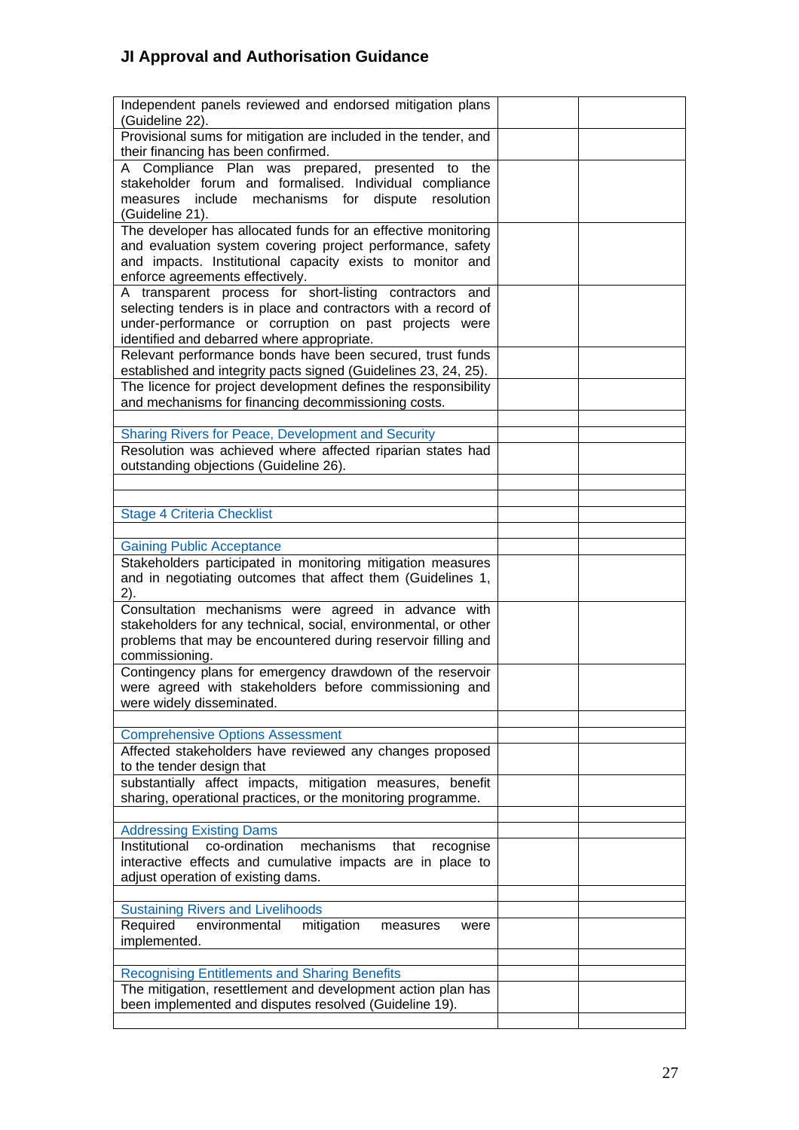| Independent panels reviewed and endorsed mitigation plans                                                                   |  |
|-----------------------------------------------------------------------------------------------------------------------------|--|
| (Guideline 22).<br>Provisional sums for mitigation are included in the tender, and                                          |  |
| their financing has been confirmed.                                                                                         |  |
| A Compliance Plan was prepared, presented to the                                                                            |  |
| stakeholder forum and formalised. Individual compliance                                                                     |  |
| measures include mechanisms for dispute resolution                                                                          |  |
| (Guideline 21).                                                                                                             |  |
| The developer has allocated funds for an effective monitoring<br>and evaluation system covering project performance, safety |  |
| and impacts. Institutional capacity exists to monitor and                                                                   |  |
| enforce agreements effectively.                                                                                             |  |
| A transparent process for short-listing contractors and                                                                     |  |
| selecting tenders is in place and contractors with a record of                                                              |  |
| under-performance or corruption on past projects were                                                                       |  |
| identified and debarred where appropriate.<br>Relevant performance bonds have been secured, trust funds                     |  |
| established and integrity pacts signed (Guidelines 23, 24, 25).                                                             |  |
| The licence for project development defines the responsibility                                                              |  |
| and mechanisms for financing decommissioning costs.                                                                         |  |
|                                                                                                                             |  |
| <b>Sharing Rivers for Peace, Development and Security</b>                                                                   |  |
| Resolution was achieved where affected riparian states had                                                                  |  |
| outstanding objections (Guideline 26).                                                                                      |  |
|                                                                                                                             |  |
| <b>Stage 4 Criteria Checklist</b>                                                                                           |  |
|                                                                                                                             |  |
| <b>Gaining Public Acceptance</b>                                                                                            |  |
| Stakeholders participated in monitoring mitigation measures                                                                 |  |
| and in negotiating outcomes that affect them (Guidelines 1,                                                                 |  |
| 2).                                                                                                                         |  |
| Consultation mechanisms were agreed in advance with<br>stakeholders for any technical, social, environmental, or other      |  |
| problems that may be encountered during reservoir filling and                                                               |  |
| commissioning.                                                                                                              |  |
| Contingency plans for emergency drawdown of the reservoir                                                                   |  |
| were agreed with stakeholders before commissioning and                                                                      |  |
| were widely disseminated.                                                                                                   |  |
|                                                                                                                             |  |
| <b>Comprehensive Options Assessment</b><br>Affected stakeholders have reviewed any changes proposed                         |  |
| to the tender design that                                                                                                   |  |
| substantially affect impacts, mitigation measures, benefit                                                                  |  |
| sharing, operational practices, or the monitoring programme.                                                                |  |
|                                                                                                                             |  |
| <b>Addressing Existing Dams</b>                                                                                             |  |
| Institutional<br>co-ordination<br>mechanisms<br>that<br>recognise                                                           |  |
| interactive effects and cumulative impacts are in place to                                                                  |  |
| adjust operation of existing dams.                                                                                          |  |
| <b>Sustaining Rivers and Livelihoods</b>                                                                                    |  |
| Required<br>environmental<br>mitigation<br>measures<br>were                                                                 |  |
| implemented.                                                                                                                |  |
|                                                                                                                             |  |
| <b>Recognising Entitlements and Sharing Benefits</b>                                                                        |  |
| The mitigation, resettlement and development action plan has                                                                |  |
| been implemented and disputes resolved (Guideline 19).                                                                      |  |
|                                                                                                                             |  |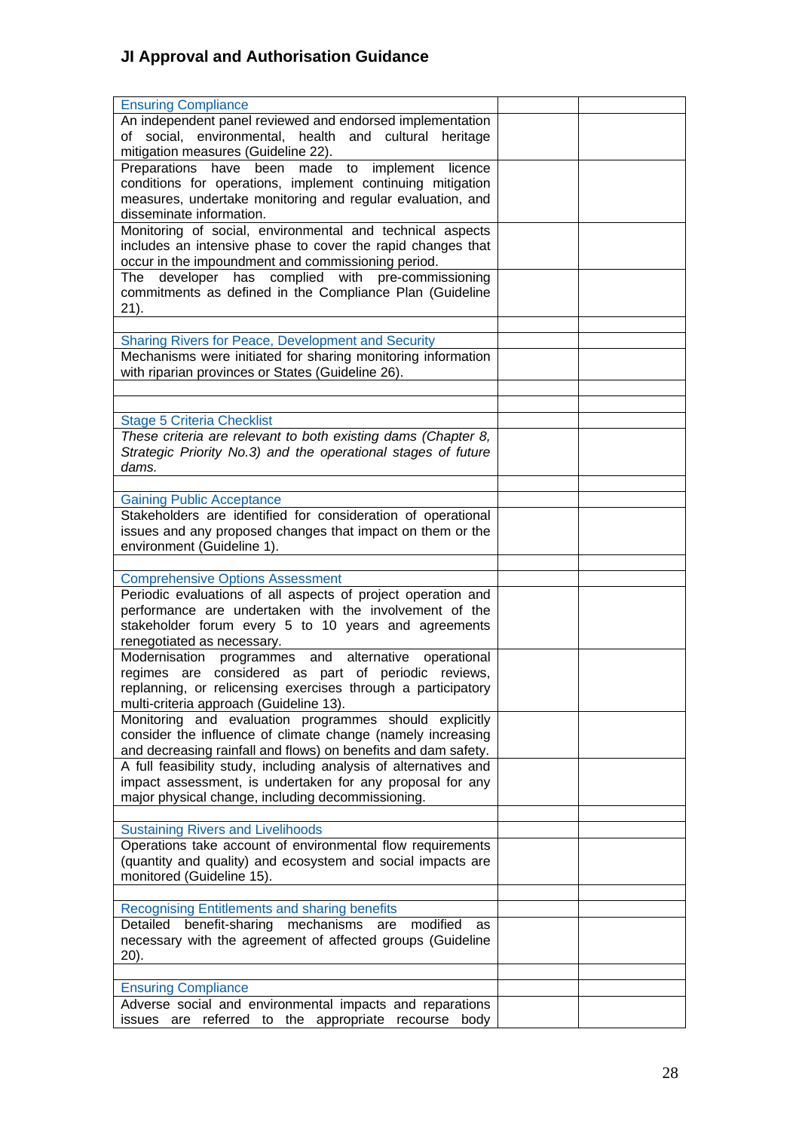| <b>Ensuring Compliance</b>                                                                                          |  |
|---------------------------------------------------------------------------------------------------------------------|--|
| An independent panel reviewed and endorsed implementation<br>of social, environmental, health and cultural heritage |  |
| mitigation measures (Guideline 22).                                                                                 |  |
| Preparations have been made to implement licence                                                                    |  |
| conditions for operations, implement continuing mitigation                                                          |  |
| measures, undertake monitoring and regular evaluation, and                                                          |  |
| disseminate information.                                                                                            |  |
| Monitoring of social, environmental and technical aspects                                                           |  |
| includes an intensive phase to cover the rapid changes that                                                         |  |
| occur in the impoundment and commissioning period.                                                                  |  |
| The developer has complied with pre-commissioning                                                                   |  |
| commitments as defined in the Compliance Plan (Guideline                                                            |  |
| 21).                                                                                                                |  |
|                                                                                                                     |  |
| Sharing Rivers for Peace, Development and Security                                                                  |  |
| Mechanisms were initiated for sharing monitoring information                                                        |  |
| with riparian provinces or States (Guideline 26).                                                                   |  |
|                                                                                                                     |  |
|                                                                                                                     |  |
| <b>Stage 5 Criteria Checklist</b><br>These criteria are relevant to both existing dams (Chapter 8,                  |  |
| Strategic Priority No.3) and the operational stages of future                                                       |  |
| dams.                                                                                                               |  |
|                                                                                                                     |  |
| <b>Gaining Public Acceptance</b>                                                                                    |  |
| Stakeholders are identified for consideration of operational                                                        |  |
| issues and any proposed changes that impact on them or the                                                          |  |
| environment (Guideline 1).                                                                                          |  |
|                                                                                                                     |  |
| <b>Comprehensive Options Assessment</b>                                                                             |  |
| Periodic evaluations of all aspects of project operation and                                                        |  |
| performance are undertaken with the involvement of the                                                              |  |
| stakeholder forum every 5 to 10 years and agreements                                                                |  |
| renegotiated as necessary.                                                                                          |  |
| Modernisation programmes and alternative operational                                                                |  |
| regimes are considered as part of periodic reviews,                                                                 |  |
| replanning, or relicensing exercises through a participatory                                                        |  |
| multi-criteria approach (Guideline 13).                                                                             |  |
| Monitoring and evaluation programmes should explicitly                                                              |  |
| consider the influence of climate change (namely increasing                                                         |  |
| and decreasing rainfall and flows) on benefits and dam safety.                                                      |  |
| A full feasibility study, including analysis of alternatives and                                                    |  |
| impact assessment, is undertaken for any proposal for any                                                           |  |
| major physical change, including decommissioning.                                                                   |  |
|                                                                                                                     |  |
| <b>Sustaining Rivers and Livelihoods</b>                                                                            |  |
| Operations take account of environmental flow requirements                                                          |  |
| (quantity and quality) and ecosystem and social impacts are<br>monitored (Guideline 15).                            |  |
|                                                                                                                     |  |
| <b>Recognising Entitlements and sharing benefits</b>                                                                |  |
| Detailed benefit-sharing mechanisms<br>modified<br>are<br>as                                                        |  |
| necessary with the agreement of affected groups (Guideline                                                          |  |
| 20).                                                                                                                |  |
|                                                                                                                     |  |
| <b>Ensuring Compliance</b>                                                                                          |  |
| Adverse social and environmental impacts and reparations                                                            |  |
|                                                                                                                     |  |